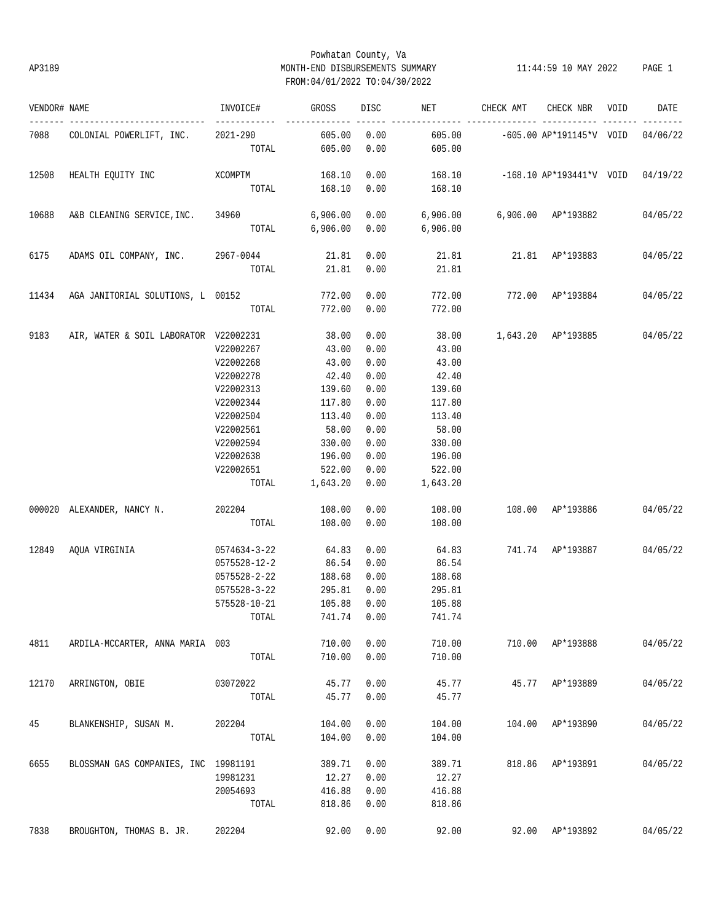## Powhatan County, Va AP3189 MONTH-END DISBURSEMENTS SUMMARY 11:44:59 10 MAY 2022 PAGE 1 FROM:04/01/2022 TO:04/30/2022

| VENDOR# NAME |                                                | INVOICE#          | GROSS                    | DISC         | NET                                          | CHECK AMT                                | CHECK NBR VOID   | DATE     |
|--------------|------------------------------------------------|-------------------|--------------------------|--------------|----------------------------------------------|------------------------------------------|------------------|----------|
|              | 7088 COLONIAL POWERLIFT, INC.                  | 2021-290<br>TOTAL | 605.00<br>605.00         | 0.00<br>0.00 | 605.00                                       |                                          |                  |          |
| 12508        | HEALTH EQUITY INC                              | <b>XCOMPTM</b>    | 168.10                   | 0.00         |                                              | 168.10 -168.10 AP*193441*V VOID 04/19/22 |                  |          |
|              |                                                |                   | TOTAL 168.10             | 0.00         | 168.10                                       |                                          |                  |          |
| 10688        | A&B CLEANING SERVICE, INC. 34960 6,906.00      |                   |                          | 0.00         | $6,906.00$ $6,906.00$ $AP*193882$ $04/05/22$ |                                          |                  |          |
|              |                                                |                   |                          |              | TOTAL 6,906.00 0.00 6,906.00                 |                                          |                  |          |
| 6175         | ADAMS OIL COMPANY, INC. 2967-0044              |                   | 21.81                    | 0.00         |                                              | 21.81 21.81 AP*193883                    |                  | 04/05/22 |
|              |                                                | TOTAL             | 21.81                    | 0.00         | 21.81                                        |                                          |                  |          |
|              | 11434 AGA JANITORIAL SOLUTIONS, L 00152 772.00 |                   |                          | 0.00         |                                              | 772.00 772.00 AP*193884 04/05/22         |                  |          |
|              |                                                | TOTAL             | 772.00                   | 0.00         | 772.00                                       |                                          |                  |          |
| 9183         | AIR, WATER & SOIL LABORATOR V22002231 38.00    |                   |                          | 0.00         | 38.00 1,643.20 AP*193885 04/05/22            |                                          |                  |          |
|              |                                                | V22002267         | 43.00                    | 0.00         | 43.00                                        |                                          |                  |          |
|              |                                                | V22002268         | 43.00                    | 0.00         | 43.00                                        |                                          |                  |          |
|              |                                                | V22002278         | 42.40                    | 0.00         | 42.40                                        |                                          |                  |          |
|              |                                                | V22002313         | 139.60                   | 0.00         | 139.60                                       |                                          |                  |          |
|              |                                                | V22002344         | 117.80                   | 0.00         | 117.80                                       |                                          |                  |          |
|              |                                                | V22002504         | 113.40                   | 0.00         | 113.40                                       |                                          |                  |          |
|              |                                                | V22002561         | 58.00                    | 0.00         | 58.00                                        |                                          |                  |          |
|              |                                                |                   |                          |              |                                              |                                          |                  |          |
|              |                                                | V22002594         | 330.00                   | 0.00         | 330.00                                       |                                          |                  |          |
|              |                                                | V22002638         | 196.00                   | 0.00         | 196.00                                       |                                          |                  |          |
|              |                                                | V22002651         | 522.00<br>TOTAL 1,643.20 | 0.00<br>0.00 | 522.00<br>1,643.20                           |                                          |                  |          |
|              |                                                |                   |                          |              |                                              |                                          |                  |          |
|              | 000020 ALEXANDER, NANCY N. 202204 108.00       |                   |                          | 0.00         | 108.00                                       | 108.00 AP*193886 04/05/22                |                  |          |
|              |                                                |                   | TOTAL 108.00             | 0.00         | 108.00                                       |                                          |                  |          |
| 12849        | AQUA VIRGINIA                                  | 0574634-3-22      | 64.83                    | 0.00         |                                              | 64.83 741.74 AP*193887 04/05/22          |                  |          |
|              |                                                | 0575528-12-2      | 86.54                    | 0.00         | 86.54                                        |                                          |                  |          |
|              |                                                | 0575528-2-22      | 188.68                   | 0.00         | 188.68                                       |                                          |                  |          |
|              |                                                | 0575528-3-22      | 295.81                   | 0.00         | 295.81                                       |                                          |                  |          |
|              |                                                | 575528-10-21      | 105.88                   | 0.00         | 105.88                                       |                                          |                  |          |
|              |                                                | TOTAL             |                          | 741.74 0.00  | 741.74                                       |                                          |                  |          |
| 4811         | ARDILA-MCCARTER, ANNA MARIA 003                |                   | 710.00                   | 0.00         | 710.00                                       |                                          | 710.00 AP*193888 | 04/05/22 |
|              |                                                | TOTAL             | 710.00                   | 0.00         | 710.00                                       |                                          |                  |          |
| 12170        | ARRINGTON, OBIE                                | 03072022          | 45.77                    | 0.00         | 45.77                                        |                                          | 45.77 AP*193889  | 04/05/22 |
|              |                                                | TOTAL             | 45.77                    | 0.00         | 45.77                                        |                                          |                  |          |
| 45           | BLANKENSHIP, SUSAN M.                          | 202204            | 104.00                   | 0.00         | 104.00                                       |                                          | 104.00 AP*193890 | 04/05/22 |
|              |                                                | TOTAL             | 104.00                   | 0.00         | 104.00                                       |                                          |                  |          |
| 6655         | BLOSSMAN GAS COMPANIES, INC 19981191           |                   | 389.71                   | 0.00         | 389.71                                       |                                          | 818.86 AP*193891 | 04/05/22 |
|              |                                                | 19981231          | 12.27                    | 0.00         | 12.27                                        |                                          |                  |          |
|              |                                                | 20054693          | 416.88                   | 0.00         | 416.88                                       |                                          |                  |          |
|              |                                                | TOTAL             | 818.86                   | 0.00         | 818.86                                       |                                          |                  |          |
|              |                                                |                   |                          |              |                                              |                                          |                  |          |
| 7838         | BROUGHTON, THOMAS B. JR.                       | 202204            | 92.00                    | 0.00         | 92.00                                        |                                          | 92.00 AP*193892  | 04/05/22 |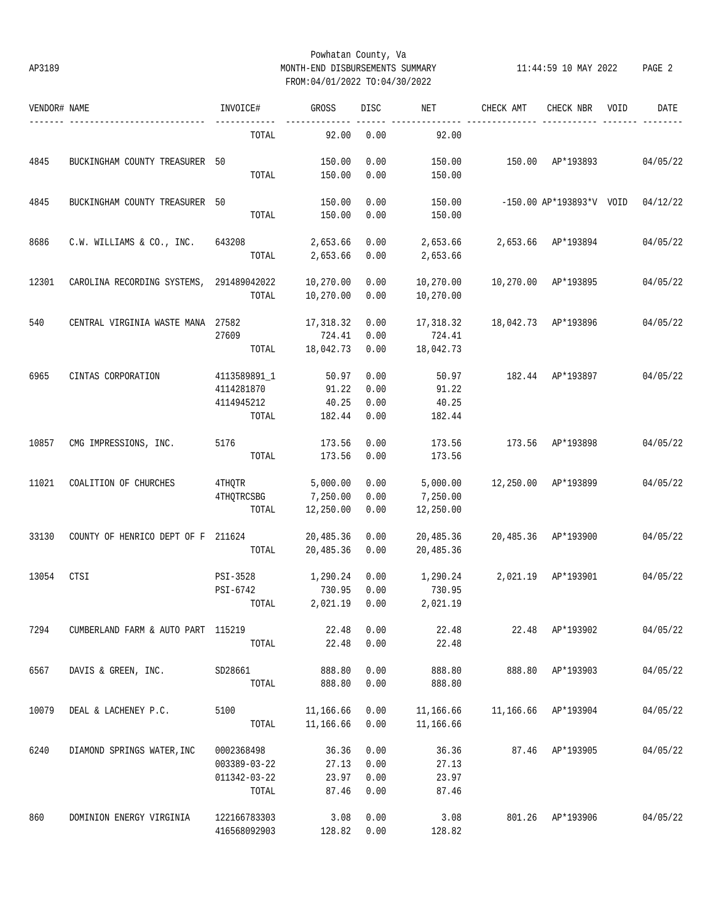## Powhatan County, Va AP3189 MONTH-END DISBURSEMENTS SUMMARY 11:44:59 10 MAY 2022 PAGE 2 FROM:04/01/2022 TO:04/30/2022

| VENDOR# NAME |                                          | INVOICE#                                            | <b>GROSS</b>                        | <b>DISC</b>                  | NET                               | CHECK AMT                   | CHECK NBR                | VOID | DATE     |
|--------------|------------------------------------------|-----------------------------------------------------|-------------------------------------|------------------------------|-----------------------------------|-----------------------------|--------------------------|------|----------|
|              |                                          | TOTAL                                               | 92.00                               | 0.00                         | 92.00                             |                             |                          |      |          |
| 4845         | BUCKINGHAM COUNTY TREASURER 50           | TOTAL                                               | 150.00<br>150.00                    | 0.00<br>0.00                 | 150.00<br>150.00                  |                             | 150.00 AP*193893         |      | 04/05/22 |
| 4845         | BUCKINGHAM COUNTY TREASURER 50           | TOTAL                                               | 150.00<br>150.00                    | 0.00<br>0.00                 | 150.00<br>150.00                  |                             | -150.00 AP*193893*V VOID |      | 04/12/22 |
| 8686         | C.W. WILLIAMS & CO., INC.                | 643208<br>TOTAL                                     | 2,653.66<br>2,653.66                | 0.00<br>0.00                 | 2,653.66                          | 2,653.66 2,653.66 AP*193894 |                          |      | 04/05/22 |
| 12301        | CAROLINA RECORDING SYSTEMS, 291489042022 | TOTAL                                               | 10,270.00<br>10,270.00              | 0.00<br>0.00                 | 10,270.00<br>10,270.00            |                             | 10,270.00 AP*193895      |      | 04/05/22 |
| 540          | CENTRAL VIRGINIA WASTE MANA 27582        | 27609<br>TOTAL                                      | 17,318.32<br>724.41<br>18,042.73    | 0.00<br>0.00<br>0.00         | 17,318.32<br>724.41<br>18,042.73  |                             | 18,042.73 AP*193896      |      | 04/05/22 |
| 6965         | CINTAS CORPORATION                       | 4113589891_1<br>4114281870<br>4114945212<br>TOTAL   | 50.97<br>91.22<br>40.25<br>182.44   | 0.00<br>0.00<br>0.00<br>0.00 | 50.97<br>91.22<br>40.25<br>182.44 |                             | 182.44 AP*193897         |      | 04/05/22 |
| 10857        | CMG IMPRESSIONS, INC.                    | 5176<br>TOTAL                                       | 173.56<br>173.56                    | 0.00<br>0.00                 | 173.56<br>173.56                  |                             | 173.56 AP*193898         |      | 04/05/22 |
| 11021        | COALITION OF CHURCHES                    | 4THQTR<br><b>4THQTRCSBG</b><br>TOTAL                | 5,000.00<br>7,250.00<br>12,250.00   | 0.00<br>0.00<br>0.00         | 5,000.00<br>7,250.00<br>12,250.00 |                             | 12,250.00 AP*193899      |      | 04/05/22 |
| 33130        | COUNTY OF HENRICO DEPT OF F 211624       | TOTAL                                               | 20,485.36<br>20,485.36              | 0.00<br>0.00                 | 20,485.36<br>20,485.36            |                             | 20,485.36 AP*193900      |      | 04/05/22 |
| 13054        | CTSI                                     | PSI-3528<br>PSI-6742<br>TOTAL                       | 1,290.24<br>730.95<br>2,021.19 0.00 | 0.00<br>0.00                 | 1,290.24<br>730.95<br>2,021.19    |                             | 2,021.19 AP*193901       |      | 04/05/22 |
| 7294         | CUMBERLAND FARM & AUTO PART 115219       | TOTAL                                               | 22.48<br>22.48                      | 0.00<br>0.00                 | 22.48<br>22.48                    | 22.48                       | AP*193902                |      | 04/05/22 |
| 6567         | DAVIS & GREEN, INC.                      | SD28661<br>TOTAL                                    | 888.80<br>888.80                    | 0.00<br>0.00                 | 888.80<br>888.80                  |                             | 888.80 AP*193903         |      | 04/05/22 |
| 10079        | DEAL & LACHENEY P.C.                     | 5100<br>TOTAL                                       | 11,166.66<br>11,166.66              | 0.00<br>0.00                 | 11,166.66<br>11,166.66            |                             | 11,166.66 AP*193904      |      | 04/05/22 |
| 6240         | DIAMOND SPRINGS WATER, INC               | 0002368498<br>003389-03-22<br>011342-03-22<br>TOTAL | 36.36<br>27.13<br>23.97<br>87.46    | 0.00<br>0.00<br>0.00<br>0.00 | 36.36<br>27.13<br>23.97<br>87.46  |                             | 87.46 AP*193905          |      | 04/05/22 |
| 860          | DOMINION ENERGY VIRGINIA                 | 122166783303<br>416568092903                        | 3.08<br>128.82                      | 0.00<br>0.00                 | 3.08<br>128.82                    |                             | 801.26 AP*193906         |      | 04/05/22 |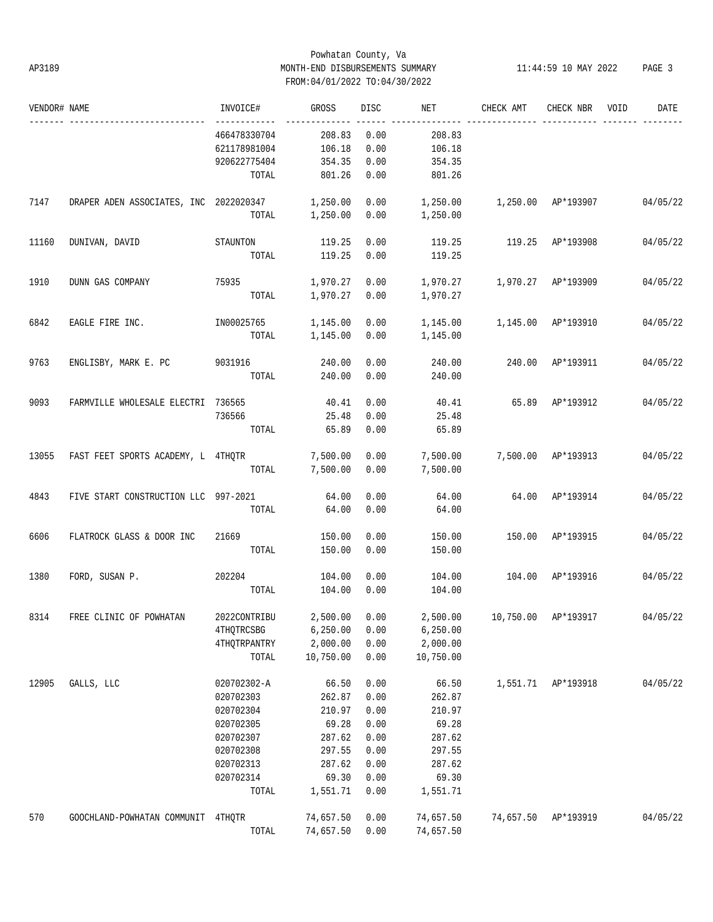## Powhatan County, Va AP3189 MONTH-END DISBURSEMENTS SUMMARY 11:44:59 10 MAY 2022 PAGE 3 FROM:04/01/2022 TO:04/30/2022

| VENDOR# NAME |                                                 | INVOICE#     | GROSS          | <b>DISC</b> | NET       | CHECK AMT          | CHECK NBR           | VOID | DATE     |
|--------------|-------------------------------------------------|--------------|----------------|-------------|-----------|--------------------|---------------------|------|----------|
|              |                                                 | 466478330704 | 208.83         | 0.00        | 208.83    |                    |                     |      |          |
|              |                                                 | 621178981004 | 106.18         | 0.00        | 106.18    |                    |                     |      |          |
|              |                                                 | 920622775404 | 354.35         | 0.00        | 354.35    |                    |                     |      |          |
|              |                                                 | TOTAL        | 801.26         | 0.00        | 801.26    |                    |                     |      |          |
| 7147         | DRAPER ADEN ASSOCIATES, INC 2022020347 1,250.00 |              |                | 0.00        | 1,250.00  | 1,250.00 AP*193907 |                     |      | 04/05/22 |
|              |                                                 |              | TOTAL 1,250.00 | 0.00        | 1,250.00  |                    |                     |      |          |
| 11160        | DUNIVAN, DAVID                                  | STAUNTON     | 119.25         | 0.00        | 119.25    | 119.25 AP*193908   |                     |      | 04/05/22 |
|              |                                                 | TOTAL        | 119.25         | 0.00        | 119.25    |                    |                     |      |          |
| 1910         | DUNN GAS COMPANY                                | 75935        | 1,970.27       | 0.00        |           |                    |                     |      | 04/05/22 |
|              |                                                 | TOTAL        | 1,970.27       | 0.00        | 1,970.27  |                    |                     |      |          |
| 6842         | EAGLE FIRE INC.                                 | IN00025765   | 1,145.00       | 0.00        |           |                    |                     |      | 04/05/22 |
|              |                                                 | TOTAL        | 1,145.00       | 0.00        | 1,145.00  |                    |                     |      |          |
| 9763         | ENGLISBY, MARK E. PC 9031916 240.00             |              |                | 0.00        | 240.00    | 240.00 AP*193911   |                     |      | 04/05/22 |
|              |                                                 |              | TOTAL 240.00   | 0.00        | 240.00    |                    |                     |      |          |
| 9093         | FARMVILLE WHOLESALE ELECTRI 736565              |              | 40.41          | 0.00        | 40.41     | 65.89 AP*193912    |                     |      | 04/05/22 |
|              |                                                 | 736566       | 25.48          | 0.00        | 25.48     |                    |                     |      |          |
|              |                                                 | TOTAL        | 65.89          | 0.00        | 65.89     |                    |                     |      |          |
| 13055        | FAST FEET SPORTS ACADEMY, L 4THQTR              |              | 7,500.00       | 0.00        | 7,500.00  | 7,500.00 AP*193913 |                     |      | 04/05/22 |
|              |                                                 | TOTAL        | 7,500.00       | 0.00        | 7,500.00  |                    |                     |      |          |
| 4843         | FIVE START CONSTRUCTION LLC 997-2021            |              | 64.00          | 0.00        | 64.00     | 64.00 AP*193914    |                     |      | 04/05/22 |
|              |                                                 | TOTAL        | 64.00          | 0.00        | 64.00     |                    |                     |      |          |
| 6606         | FLATROCK GLASS & DOOR INC                       | 21669        | 150.00         | 0.00        | 150.00    | 150.00 AP*193915   |                     |      | 04/05/22 |
|              |                                                 | TOTAL        | 150.00         | 0.00        | 150.00    |                    |                     |      |          |
| 1380         | FORD, SUSAN P.                                  | 202204       | 104.00         | 0.00        | 104.00    | 104.00 AP*193916   |                     |      | 04/05/22 |
|              |                                                 | TOTAL        | 104.00         | 0.00        | 104.00    |                    |                     |      |          |
|              | 8314 FREE CLINIC OF POWHATAN                    | 2022CONTRIBU | 2,500.00 0.00  |             | 2,500.00  |                    | 10,750.00 AP*193917 |      | 04/05/22 |
|              |                                                 | 4THQTRCSBG   | 6, 250.00      | 0.00        | 6, 250.00 |                    |                     |      |          |
|              |                                                 | 4THQTRPANTRY | 2,000.00       | 0.00        | 2,000.00  |                    |                     |      |          |
|              |                                                 | TOTAL        | 10,750.00      | 0.00        | 10,750.00 |                    |                     |      |          |
| 12905        | GALLS, LLC                                      | 020702302-A  | 66.50          | 0.00        | 66.50     | 1,551.71           | AP*193918           |      | 04/05/22 |
|              |                                                 | 020702303    | 262.87         | 0.00        | 262.87    |                    |                     |      |          |
|              |                                                 | 020702304    | 210.97         | 0.00        | 210.97    |                    |                     |      |          |
|              |                                                 | 020702305    | 69.28          | 0.00        | 69.28     |                    |                     |      |          |
|              |                                                 | 020702307    | 287.62         | 0.00        | 287.62    |                    |                     |      |          |
|              |                                                 | 020702308    | 297.55         | 0.00        | 297.55    |                    |                     |      |          |
|              |                                                 | 020702313    | 287.62         | 0.00        | 287.62    |                    |                     |      |          |
|              |                                                 | 020702314    | 69.30          | 0.00        | 69.30     |                    |                     |      |          |
|              |                                                 | TOTAL        | 1,551.71       | 0.00        | 1,551.71  |                    |                     |      |          |
| 570          | GOOCHLAND-POWHATAN COMMUNIT 4THOTR              |              | 74,657.50      | 0.00        | 74,657.50 | 74,657.50          | AP*193919           |      | 04/05/22 |
|              |                                                 | TOTAL        | 74,657.50      | 0.00        | 74,657.50 |                    |                     |      |          |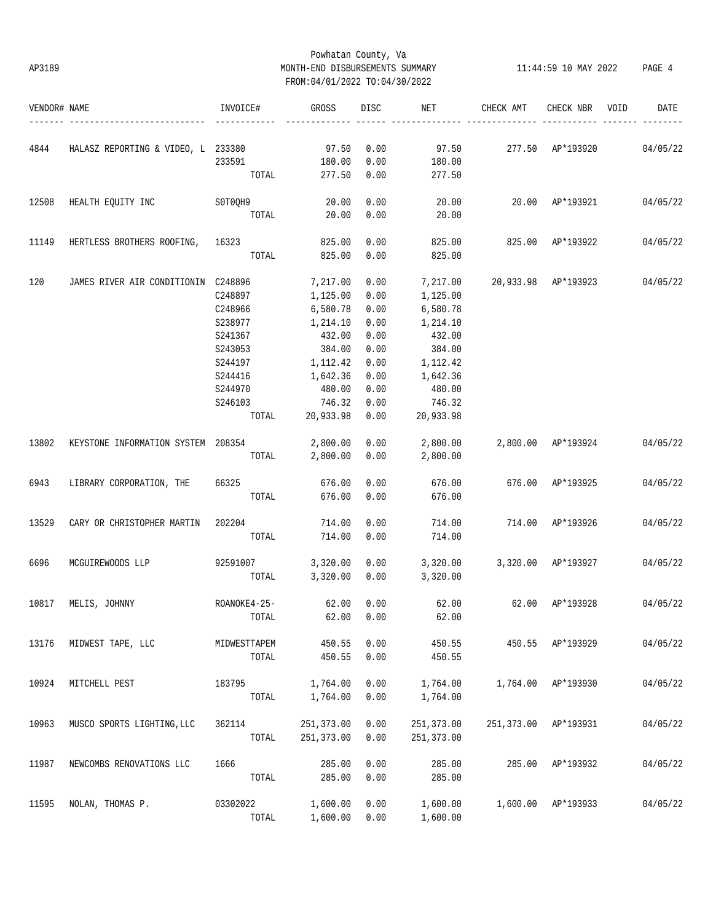## Powhatan County, Va AP3189 MONTH-END DISBURSEMENTS SUMMARY 11:44:59 10 MAY 2022 PAGE 4 FROM:04/01/2022 TO:04/30/2022

| VENDOR# NAME |                                         | INVOICE#     | GROSS           | DISC         | NET         | CHECK AMT                          | CHECK NBR          | VOID | DATE     |
|--------------|-----------------------------------------|--------------|-----------------|--------------|-------------|------------------------------------|--------------------|------|----------|
|              |                                         |              |                 |              |             |                                    |                    |      |          |
| 4844         | HALASZ REPORTING & VIDEO, L 233380      | 233591       | 97.50<br>180.00 | 0.00<br>0.00 | 180.00      | 97.50  277.50  AP*193920  04/05/22 |                    |      |          |
|              |                                         | TOTAL        | 277.50          | 0.00         | 277.50      |                                    |                    |      |          |
|              |                                         |              |                 |              |             |                                    |                    |      |          |
| 12508        | HEALTH EQUITY INC                       | SOTOQH9      | 20.00           | 0.00         | 20.00       | 20.00 AP*193921 04/05/22           |                    |      |          |
|              |                                         | TOTAL        | 20.00           | 0.00         | 20.00       |                                    |                    |      |          |
| 11149        | HERTLESS BROTHERS ROOFING, 16323 825.00 |              |                 | 0.00         | 825.00      | 825.00 AP*193922                   |                    |      | 04/05/22 |
|              |                                         |              | TOTAL 825.00    | 0.00         | 825.00      |                                    |                    |      |          |
| 120          | JAMES RIVER AIR CONDITIONIN C248896     |              | 7,217.00        | 0.00         | 7,217.00    | 20,933.98 AP*193923 04/05/22       |                    |      |          |
|              |                                         | C248897      | 1,125.00        | 0.00         | 1,125.00    |                                    |                    |      |          |
|              |                                         | C248966      | 6,580.78        | 0.00         | 6,580.78    |                                    |                    |      |          |
|              |                                         | S238977      | 1,214.10        | 0.00         | 1,214.10    |                                    |                    |      |          |
|              |                                         |              | 432.00          | 0.00         | 432.00      |                                    |                    |      |          |
|              |                                         | S241367      |                 |              |             |                                    |                    |      |          |
|              |                                         | S243053      | 384.00          | 0.00         | 384.00      |                                    |                    |      |          |
|              |                                         | S244197      | 1,112.42        | 0.00         | 1,112.42    |                                    |                    |      |          |
|              |                                         | S244416      | 1,642.36        | 0.00         | 1,642.36    |                                    |                    |      |          |
|              |                                         | S244970      | 480.00          | 0.00         | 480.00      |                                    |                    |      |          |
|              |                                         | S246103      | 746.32          | 0.00         | 746.32      |                                    |                    |      |          |
|              |                                         | TOTAL        | 20,933.98       | 0.00         | 20,933.98   |                                    |                    |      |          |
| 13802        | KEYSTONE INFORMATION SYSTEM 208354      |              | 2,800.00        | 0.00         | 2,800.00    | 2,800.00 AP*193924                 |                    |      | 04/05/22 |
|              |                                         | TOTAL        | 2,800.00        | 0.00         | 2,800.00    |                                    |                    |      |          |
| 6943         | LIBRARY CORPORATION, THE                | 66325        | 676.00          | 0.00         | 676.00      | 676.00 AP*193925                   |                    |      | 04/05/22 |
|              |                                         | TOTAL        | 676.00          | 0.00         | 676.00      |                                    |                    |      |          |
| 13529        | CARY OR CHRISTOPHER MARTIN              | 202204       | 714.00          | 0.00         | 714.00      | 714.00 AP*193926                   |                    |      | 04/05/22 |
|              |                                         | TOTAL        | 714.00          | 0.00         | 714.00      |                                    |                    |      |          |
| 6696         | MCGUIREWOODS LLP                        | 92591007     | 3,320.00        | 0.00         | 3,320.00    | 3,320.00 AP*193927                 |                    |      | 04/05/22 |
|              |                                         |              | TOTAL 3,320.00  | 0.00         | 3,320.00    |                                    |                    |      |          |
| 10817        | MELIS, JOHNNY                           | ROANOKE4-25- | 62.00           | 0.00         | 62.00       | 62.00 AP*193928                    |                    |      | 04/05/22 |
|              |                                         | TOTAL        | 62.00           | 0.00         | 62.00       |                                    |                    |      |          |
| 13176        | MIDWEST TAPE, LLC                       | MIDWESTTAPEM | 450.55          | 0.00         | 450.55      |                                    | 450.55 AP*193929   |      | 04/05/22 |
|              |                                         | TOTAL        | 450.55          | 0.00         | 450.55      |                                    |                    |      |          |
| 10924        | MITCHELL PEST                           | 183795       | 1,764.00        | 0.00         | 1,764.00    | 1,764.00                           | AP*193930          |      | 04/05/22 |
|              |                                         | TOTAL        | 1,764.00        | 0.00         | 1,764.00    |                                    |                    |      |          |
| 10963        | MUSCO SPORTS LIGHTING, LLC              | 362114       | 251, 373.00     | 0.00         | 251,373.00  | 251,373.00                         | AP*193931          |      | 04/05/22 |
|              |                                         | TOTAL        | 251, 373.00     | 0.00         | 251, 373.00 |                                    |                    |      |          |
| 11987        | NEWCOMBS RENOVATIONS LLC                | 1666         | 285.00          | 0.00         | 285.00      | 285.00                             | AP*193932          |      | 04/05/22 |
|              |                                         | TOTAL        | 285.00          | 0.00         | 285.00      |                                    |                    |      |          |
| 11595        | NOLAN, THOMAS P.                        | 03302022     | 1,600.00        | 0.00         | 1,600.00    |                                    | 1,600.00 AP*193933 |      | 04/05/22 |
|              |                                         | TOTAL        | 1,600.00        | 0.00         | 1,600.00    |                                    |                    |      |          |
|              |                                         |              |                 |              |             |                                    |                    |      |          |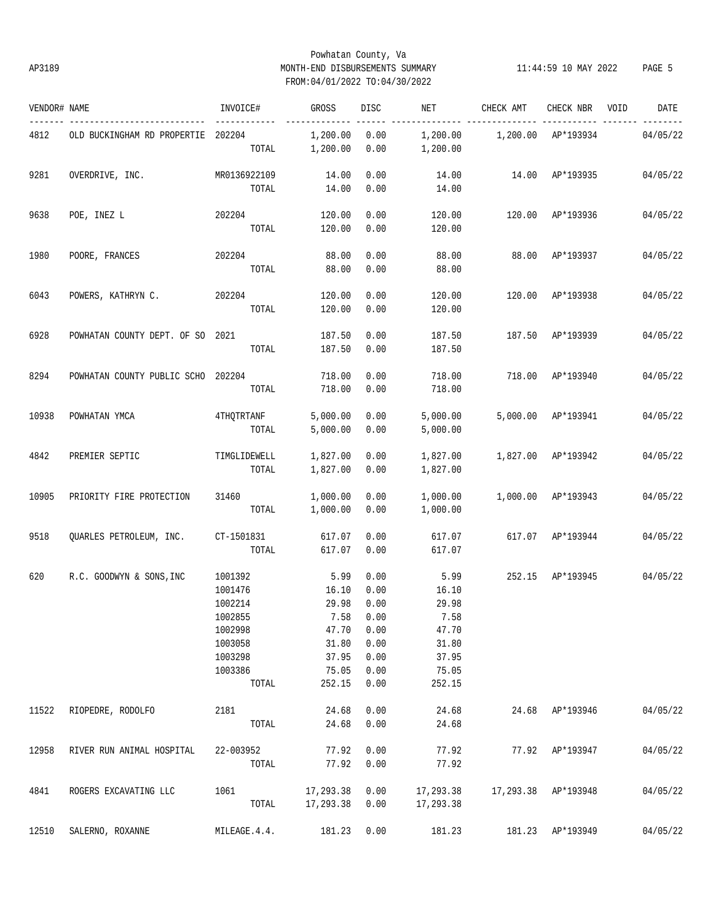## Powhatan County, Va AP3189 MONTH-END DISBURSEMENTS SUMMARY 11:44:59 10 MAY 2022 PAGE 5 FROM:04/01/2022 TO:04/30/2022

| VENDOR# NAME |                                    | INVOICE#                                                                                      | GROSS                                                                             | DISC                                                         | NET                                                                          | CHECK AMT           | CHECK NBR          | VOID | DATE     |
|--------------|------------------------------------|-----------------------------------------------------------------------------------------------|-----------------------------------------------------------------------------------|--------------------------------------------------------------|------------------------------------------------------------------------------|---------------------|--------------------|------|----------|
| 4812         | OLD BUCKINGHAM RD PROPERTIE 202204 | TOTAL                                                                                         | 1,200.00<br>1,200.00                                                              | 0.00<br>0.00                                                 | 1,200.00<br>1,200.00                                                         | 1,200.00            | AP*193934          |      | 04/05/22 |
| 9281         | OVERDRIVE, INC.                    | MR0136922109<br>TOTAL                                                                         | 14.00<br>14.00                                                                    | 0.00<br>0.00                                                 | 14.00<br>14.00                                                               | 14.00 AP*193935     |                    |      | 04/05/22 |
| 9638         | POE, INEZ L                        | 202204<br>TOTAL                                                                               | 120.00<br>120.00                                                                  | 0.00<br>0.00                                                 | 120.00<br>120.00                                                             |                     | 120.00 AP*193936   |      | 04/05/22 |
| 1980         | POORE, FRANCES                     | 202204<br>TOTAL                                                                               | 88.00<br>88.00                                                                    | 0.00<br>0.00                                                 | 88.00<br>88.00                                                               | 88.00               | AP*193937          |      | 04/05/22 |
| 6043         | POWERS, KATHRYN C.                 | 202204<br>TOTAL                                                                               | 120.00<br>120.00                                                                  | 0.00<br>0.00                                                 | 120.00<br>120.00                                                             | 120.00              | AP*193938          |      | 04/05/22 |
| 6928         | POWHATAN COUNTY DEPT. OF SO 2021   | TOTAL                                                                                         | 187.50<br>187.50                                                                  | 0.00<br>0.00                                                 | 187.50<br>187.50                                                             | 187.50              | AP*193939          |      | 04/05/22 |
| 8294         | POWHATAN COUNTY PUBLIC SCHO 202204 | TOTAL                                                                                         | 718.00<br>718.00                                                                  | 0.00<br>0.00                                                 | 718.00<br>718.00                                                             | 718.00              | AP*193940          |      | 04/05/22 |
| 10938        | POWHATAN YMCA                      | 4THQTRTANF<br>TOTAL                                                                           | 5,000.00<br>5,000.00                                                              | 0.00<br>0.00                                                 | 5,000.00<br>5,000.00                                                         |                     | 5,000.00 AP*193941 |      | 04/05/22 |
| 4842         | PREMIER SEPTIC                     | TIMGLIDEWELL<br>TOTAL                                                                         | 1,827.00<br>1,827.00                                                              | 0.00<br>0.00                                                 | 1,827.00<br>1,827.00                                                         | 1,827.00 AP*193942  |                    |      | 04/05/22 |
| 10905        | PRIORITY FIRE PROTECTION           | 31460<br>TOTAL                                                                                | 1,000.00<br>1,000.00                                                              | 0.00<br>0.00                                                 | 1,000.00<br>1,000.00                                                         | 1,000.00 AP*193943  |                    |      | 04/05/22 |
| 9518         | QUARLES PETROLEUM, INC.            | CT-1501831<br>TOTAL                                                                           | 617.07<br>617.07                                                                  | 0.00<br>0.00                                                 | 617.07<br>617.07                                                             |                     | 617.07 AP*193944   |      | 04/05/22 |
| 620          | R.C. GOODWYN & SONS, INC           | 1001392<br>1001476<br>1002214<br>1002855<br>1002998<br>1003058<br>1003298<br>1003386<br>TOTAL | 5.99<br>16.10<br>29.98<br>7.58 0.00<br>47.70<br>31.80<br>37.95<br>75.05<br>252.15 | 0.00<br>0.00<br>0.00<br>0.00<br>0.00<br>0.00<br>0.00<br>0.00 | 5.99<br>16.10<br>29.98<br>7.58<br>47.70<br>31.80<br>37.95<br>75.05<br>252.15 |                     | 252.15 AP*193945   |      | 04/05/22 |
| 11522        | RIOPEDRE, RODOLFO                  | 2181<br>TOTAL                                                                                 | 24.68<br>24.68                                                                    | 0.00<br>0.00                                                 | 24.68<br>24.68                                                               |                     | 24.68 AP*193946    |      | 04/05/22 |
| 12958        | RIVER RUN ANIMAL HOSPITAL          | 22-003952<br>TOTAL                                                                            | 77.92<br>77.92                                                                    | 0.00<br>0.00                                                 | 77.92<br>77.92                                                               |                     | 77.92 AP*193947    |      | 04/05/22 |
| 4841         | ROGERS EXCAVATING LLC              | 1061<br>TOTAL                                                                                 | 17,293.38<br>17,293.38                                                            | 0.00<br>0.00                                                 | 17,293.38<br>17,293.38                                                       | 17,293.38 AP*193948 |                    |      | 04/05/22 |
| 12510        | SALERNO, ROXANNE                   | MILEAGE. 4.4.                                                                                 | 181.23                                                                            | 0.00                                                         | 181.23                                                                       |                     | 181.23 AP*193949   |      | 04/05/22 |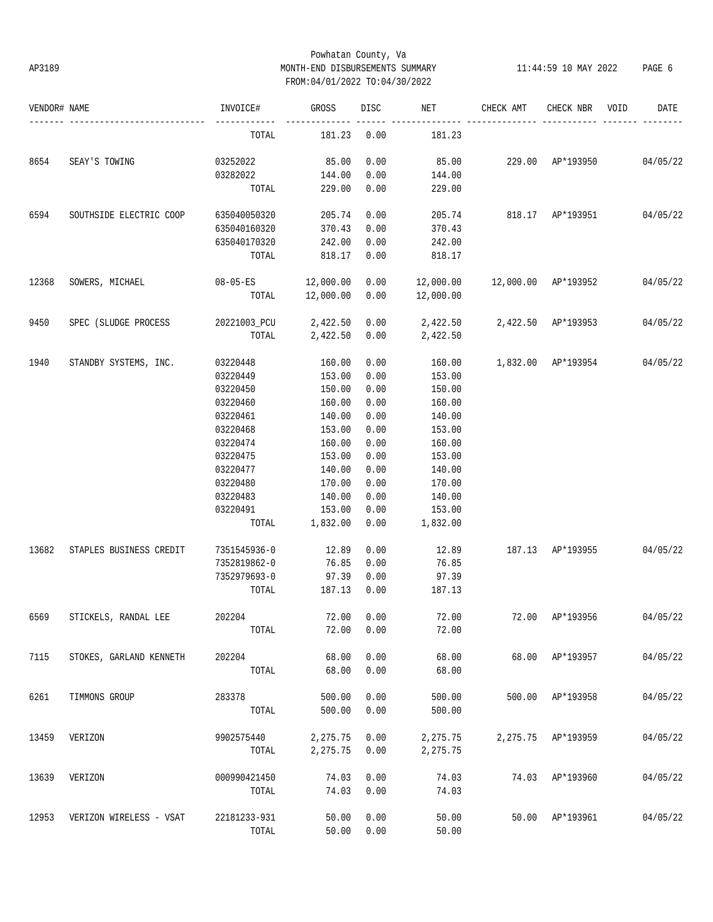## Powhatan County, Va AP3189 MONTH-END DISBURSEMENTS SUMMARY 11:44:59 10 MAY 2022 PAGE 6 FROM:04/01/2022 TO:04/30/2022

| VENDOR# NAME |                         | INVOICE#              | GROSS     | DISC       | NET       | CHECK AMT                   | CHECK NBR          | VOID | DATE     |
|--------------|-------------------------|-----------------------|-----------|------------|-----------|-----------------------------|--------------------|------|----------|
|              |                         | TOTAL                 | 181.23    | 0.00       | 181.23    |                             |                    |      |          |
| 8654         | SEAY'S TOWING           | 03252022              | 85.00     | 0.00       | 85.00     | 229.00 AP*193950 04/05/22   |                    |      |          |
|              |                         | 03282022              | 144.00    | 0.00       | 144.00    |                             |                    |      |          |
|              |                         | TOTAL                 | 229.00    | 0.00       | 229.00    |                             |                    |      |          |
| 6594         | SOUTHSIDE ELECTRIC COOP | 635040050320          | 205.74    | 0.00       | 205.74    | 818.17 AP*193951            |                    |      | 04/05/22 |
|              |                         | 635040160320          | 370.43    | 0.00       | 370.43    |                             |                    |      |          |
|              |                         | 635040170320          | 242.00    | 0.00       | 242.00    |                             |                    |      |          |
|              |                         | TOTAL                 | 818.17    | 0.00       | 818.17    |                             |                    |      |          |
| 12368        | SOWERS, MICHAEL         | $08-05-ES$ 12,000.00  |           | 0.00       | 12,000.00 | 12,000.00 AP*193952         |                    |      | 04/05/22 |
|              |                         | TOTAL                 | 12,000.00 | 0.00       | 12,000.00 |                             |                    |      |          |
| 9450         | SPEC (SLUDGE PROCESS    | 20221003_PCU 2,422.50 |           | 0.00       |           | 2,422.50 2,422.50 AP*193953 |                    |      | 04/05/22 |
|              |                         | TOTAL                 | 2,422.50  | 0.00       | 2,422.50  |                             |                    |      |          |
| 1940         | STANDBY SYSTEMS, INC.   | 03220448              | 160.00    | 0.00       | 160.00    | 1,832.00 AP*193954          |                    |      | 04/05/22 |
|              |                         | 03220449              | 153.00    | 0.00       | 153.00    |                             |                    |      |          |
|              |                         | 03220450              | 150.00    | 0.00       | 150.00    |                             |                    |      |          |
|              |                         | 03220460              | 160.00    | 0.00       | 160.00    |                             |                    |      |          |
|              |                         | 03220461              | 140.00    | 0.00       | 140.00    |                             |                    |      |          |
|              |                         | 03220468              | 153.00    | 0.00       | 153.00    |                             |                    |      |          |
|              |                         | 03220474              | 160.00    | 0.00       | 160.00    |                             |                    |      |          |
|              |                         | 03220475              | 153.00    | 0.00       | 153.00    |                             |                    |      |          |
|              |                         | 03220477              | 140.00    | 0.00       | 140.00    |                             |                    |      |          |
|              |                         | 03220480              | 170.00    | 0.00       | 170.00    |                             |                    |      |          |
|              |                         | 03220483              | 140.00    | 0.00       | 140.00    |                             |                    |      |          |
|              |                         | 03220491              | 153.00    | 0.00       | 153.00    |                             |                    |      |          |
|              |                         | TOTAL                 | 1,832.00  | 0.00       | 1,832.00  |                             |                    |      |          |
| 13682        | STAPLES BUSINESS CREDIT | 7351545936-0          | 12.89     | 0.00       | 12.89     | 187.13 AP*193955            |                    |      | 04/05/22 |
|              |                         | 7352819862-0          | 76.85     | 0.00       | 76.85     |                             |                    |      |          |
|              |                         | 7352979693-0          | 97.39     | 0.00       | 97.39     |                             |                    |      |          |
|              |                         | TOTAL                 | 187.13    | 0.00       | 187.13    |                             |                    |      |          |
| 6569         | STICKELS, RANDAL LEE    | 202204                |           | 72.00 0.00 | 72.00     | 72.00 AP*193956 04/05/22    |                    |      |          |
|              |                         | TOTAL                 | 72.00     | 0.00       | 72.00     |                             |                    |      |          |
| 7115         | STOKES, GARLAND KENNETH | 202204                | 68.00     | 0.00       | 68.00     |                             | 68.00 AP*193957    |      | 04/05/22 |
|              |                         | TOTAL                 | 68.00     | 0.00       | 68.00     |                             |                    |      |          |
| 6261         | TIMMONS GROUP           | 283378                | 500.00    | 0.00       | 500.00    |                             | 500.00 AP*193958   |      | 04/05/22 |
|              |                         | TOTAL                 | 500.00    | 0.00       | 500.00    |                             |                    |      |          |
| 13459        | VERIZON                 | 9902575440            | 2,275.75  | 0.00       | 2,275.75  |                             | 2,275.75 AP*193959 |      | 04/05/22 |
|              |                         | TOTAL                 | 2,275.75  | 0.00       | 2,275.75  |                             |                    |      |          |
| 13639        | VERIZON                 | 000990421450          | 74.03     | 0.00       | 74.03     |                             | 74.03 AP*193960    |      | 04/05/22 |
|              |                         | TOTAL                 | 74.03     | 0.00       | 74.03     |                             |                    |      |          |
| 12953        | VERIZON WIRELESS - VSAT | 22181233-931          | 50.00     | 0.00       | 50.00     |                             | 50.00 AP*193961    |      | 04/05/22 |
|              |                         | TOTAL                 | 50.00     | 0.00       | 50.00     |                             |                    |      |          |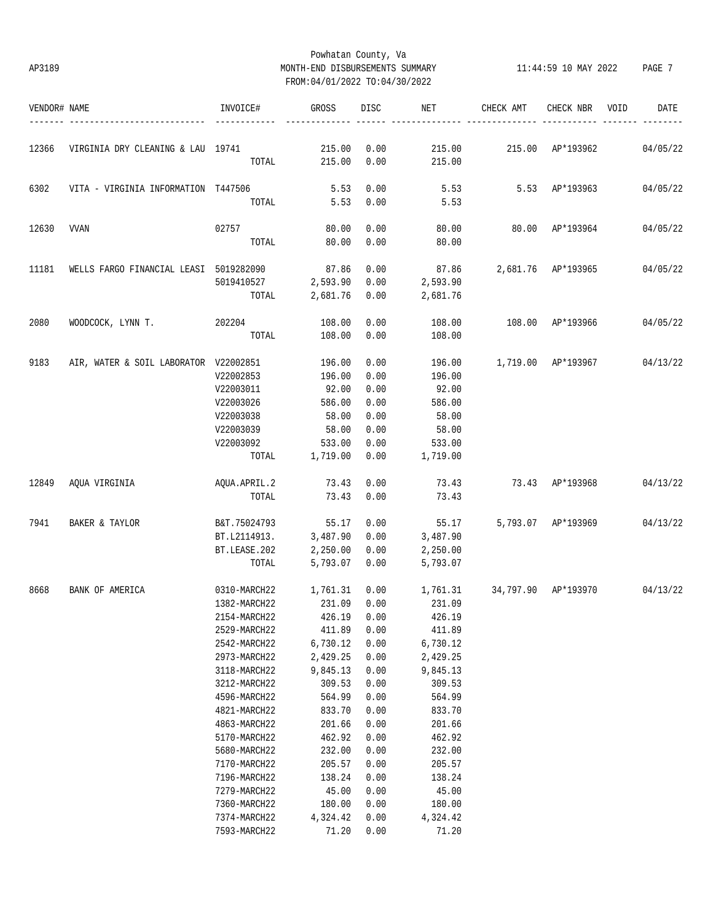# Powhatan County, Va AP3189 MONTH-END DISBURSEMENTS SUMMARY 11:44:59 10 MAY 2022 PAGE 7 FROM:04/01/2022 TO:04/30/2022

| 12366<br>VIRGINIA DRY CLEANING & LAU 19741<br>215.00<br>215.00<br>TOTAL<br>6302<br>5.53<br>VITA - VIRGINIA INFORMATION T447506<br>TOTAL<br>5.53<br>12630<br><b>VVAN</b><br>02757<br>80.00<br>80.00<br>TOTAL | 0.00<br>0.00<br>0.00<br>0.00<br>0.00<br>0.00<br>0.00<br>0.00<br>0.00<br>0.00<br>0.00 | 215.00<br>215.00<br>5.53<br>5.53<br>80.00<br>80.00<br>87.86<br>2,593.90<br>2,681.76<br>108.00 | 215.00 AP*193962 | 5.53 AP*193963<br>80.00 AP*193964 | 04/05/22<br>04/05/22<br>04/05/22<br>2,681.76 AP*193965 04/05/22 |
|-------------------------------------------------------------------------------------------------------------------------------------------------------------------------------------------------------------|--------------------------------------------------------------------------------------|-----------------------------------------------------------------------------------------------|------------------|-----------------------------------|-----------------------------------------------------------------|
|                                                                                                                                                                                                             |                                                                                      |                                                                                               |                  |                                   |                                                                 |
|                                                                                                                                                                                                             |                                                                                      |                                                                                               |                  |                                   |                                                                 |
|                                                                                                                                                                                                             |                                                                                      |                                                                                               |                  |                                   |                                                                 |
|                                                                                                                                                                                                             |                                                                                      |                                                                                               |                  |                                   |                                                                 |
|                                                                                                                                                                                                             |                                                                                      |                                                                                               |                  |                                   |                                                                 |
|                                                                                                                                                                                                             |                                                                                      |                                                                                               |                  |                                   |                                                                 |
| 11181<br>87.86<br>WELLS FARGO FINANCIAL LEASI 5019282090                                                                                                                                                    |                                                                                      |                                                                                               |                  |                                   |                                                                 |
| 2,593.90<br>5019410527                                                                                                                                                                                      |                                                                                      |                                                                                               |                  |                                   |                                                                 |
| 2,681.76<br>TOTAL                                                                                                                                                                                           |                                                                                      |                                                                                               |                  |                                   |                                                                 |
| 2080<br>WOODCOCK, LYNN T.<br>202204<br>108.00                                                                                                                                                               |                                                                                      |                                                                                               |                  | 108.00 AP*193966                  | 04/05/22                                                        |
| TOTAL<br>108.00                                                                                                                                                                                             |                                                                                      | 108.00                                                                                        |                  |                                   |                                                                 |
| 9183<br>AIR, WATER & SOIL LABORATOR V22002851<br>196.00                                                                                                                                                     | 0.00                                                                                 | 196.00                                                                                        |                  |                                   | 1,719.00 AP*193967 04/13/22                                     |
| V22002853<br>196.00                                                                                                                                                                                         | 0.00                                                                                 | 196.00                                                                                        |                  |                                   |                                                                 |
| V22003011<br>92.00                                                                                                                                                                                          | 0.00                                                                                 | 92.00                                                                                         |                  |                                   |                                                                 |
| V22003026<br>586.00                                                                                                                                                                                         | 0.00                                                                                 | 586.00                                                                                        |                  |                                   |                                                                 |
| 58.00<br>V22003038                                                                                                                                                                                          | 0.00                                                                                 | 58.00                                                                                         |                  |                                   |                                                                 |
| 58.00<br>V22003039                                                                                                                                                                                          | 0.00                                                                                 | 58.00                                                                                         |                  |                                   |                                                                 |
| V22003092<br>533.00                                                                                                                                                                                         | 0.00                                                                                 | 533.00                                                                                        |                  |                                   |                                                                 |
| TOTAL<br>1,719.00                                                                                                                                                                                           | 0.00                                                                                 | 1,719.00                                                                                      |                  |                                   |                                                                 |
| 12849<br>AQUA.APRIL.2<br>73.43<br>AQUA VIRGINIA                                                                                                                                                             | 0.00                                                                                 | 73.43                                                                                         | 73.43 AP*193968  |                                   | 04/13/22                                                        |
| TOTAL<br>73.43                                                                                                                                                                                              | 0.00                                                                                 | 73.43                                                                                         |                  |                                   |                                                                 |
| 7941<br>BAKER & TAYLOR<br>B&T.75024793<br>55.17                                                                                                                                                             | 0.00                                                                                 | 55.17                                                                                         |                  | 5,793.07 AP*193969                | 04/13/22                                                        |
| 3,487.90<br>BT.L2114913.                                                                                                                                                                                    | 0.00                                                                                 | 3,487.90                                                                                      |                  |                                   |                                                                 |
| 2,250.00<br>BT.LEASE.202                                                                                                                                                                                    | 0.00                                                                                 | 2,250.00                                                                                      |                  |                                   |                                                                 |
| 5,793.07<br>TOTAL                                                                                                                                                                                           | 0.00                                                                                 | 5,793.07                                                                                      |                  |                                   |                                                                 |
| 8668<br>BANK OF AMERICA<br>0310-MARCH22<br>1,761.31                                                                                                                                                         | 0.00                                                                                 | 1,761.31                                                                                      |                  |                                   | 34,797.90 AP*193970 04/13/22                                    |
| 1382-MARCH22<br>231.09                                                                                                                                                                                      | 0.00                                                                                 | 231.09                                                                                        |                  |                                   |                                                                 |
| 2154-MARCH22<br>426.19 0.00                                                                                                                                                                                 |                                                                                      | 426.19                                                                                        |                  |                                   |                                                                 |
| 2529-MARCH22<br>411.89                                                                                                                                                                                      | 0.00                                                                                 | 411.89                                                                                        |                  |                                   |                                                                 |
| 2542-MARCH22<br>6,730.12                                                                                                                                                                                    | 0.00                                                                                 | 6,730.12                                                                                      |                  |                                   |                                                                 |
| 2973-MARCH22<br>2,429.25                                                                                                                                                                                    | 0.00                                                                                 | 2,429.25                                                                                      |                  |                                   |                                                                 |
| 3118-MARCH22<br>9,845.13                                                                                                                                                                                    | 0.00                                                                                 | 9,845.13                                                                                      |                  |                                   |                                                                 |
| 3212-MARCH22<br>309.53                                                                                                                                                                                      | 0.00                                                                                 | 309.53                                                                                        |                  |                                   |                                                                 |
| 4596-MARCH22<br>564.99                                                                                                                                                                                      | 0.00                                                                                 | 564.99                                                                                        |                  |                                   |                                                                 |
| 4821-MARCH22<br>833.70                                                                                                                                                                                      | 0.00                                                                                 | 833.70                                                                                        |                  |                                   |                                                                 |
| 4863-MARCH22<br>201.66                                                                                                                                                                                      | 0.00                                                                                 | 201.66                                                                                        |                  |                                   |                                                                 |
| 462.92<br>5170-MARCH22                                                                                                                                                                                      | 0.00                                                                                 | 462.92                                                                                        |                  |                                   |                                                                 |
| 5680-MARCH22<br>232.00                                                                                                                                                                                      | 0.00                                                                                 | 232.00                                                                                        |                  |                                   |                                                                 |
| 7170-MARCH22<br>205.57                                                                                                                                                                                      | 0.00                                                                                 | 205.57                                                                                        |                  |                                   |                                                                 |
| 7196-MARCH22<br>138.24                                                                                                                                                                                      | 0.00                                                                                 | 138.24                                                                                        |                  |                                   |                                                                 |
| 7279-MARCH22<br>45.00                                                                                                                                                                                       | 0.00                                                                                 | 45.00                                                                                         |                  |                                   |                                                                 |
| 7360-MARCH22<br>180.00                                                                                                                                                                                      | 0.00                                                                                 | 180.00                                                                                        |                  |                                   |                                                                 |
| 7374-MARCH22<br>4,324.42                                                                                                                                                                                    | 0.00                                                                                 | 4,324.42                                                                                      |                  |                                   |                                                                 |
| 7593-MARCH22<br>71.20                                                                                                                                                                                       | 0.00                                                                                 | 71.20                                                                                         |                  |                                   |                                                                 |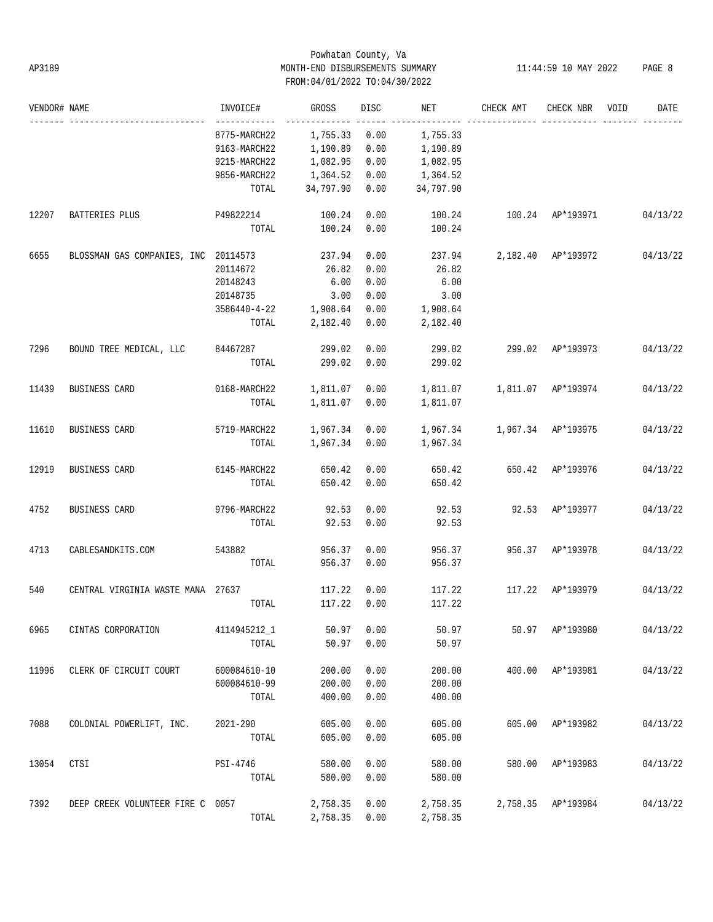## Powhatan County, Va AP3189 MONTH-END DISBURSEMENTS SUMMARY 11:44:59 10 MAY 2022 PAGE 8 FROM:04/01/2022 TO:04/30/2022

| VENDOR# NAME |                                      | INVOICE#              | GROSS         | DISC | NET       | CHECK AMT          | CHECK NBR          | VOID | DATE     |
|--------------|--------------------------------------|-----------------------|---------------|------|-----------|--------------------|--------------------|------|----------|
|              |                                      | 8775-MARCH22          | 1,755.33      | 0.00 | 1,755.33  |                    |                    |      |          |
|              |                                      | 9163-MARCH22          | 1,190.89      | 0.00 | 1,190.89  |                    |                    |      |          |
|              |                                      | 9215-MARCH22          | 1,082.95      | 0.00 | 1,082.95  |                    |                    |      |          |
|              |                                      | 9856-MARCH22          | 1,364.52      | 0.00 | 1,364.52  |                    |                    |      |          |
|              |                                      | TOTAL                 | 34,797.90     | 0.00 | 34,797.90 |                    |                    |      |          |
| 12207        | BATTERIES PLUS                       | P49822214             | 100.24        | 0.00 | 100.24    | 100.24 AP*193971   |                    |      | 04/13/22 |
|              |                                      | TOTAL                 | 100.24        | 0.00 | 100.24    |                    |                    |      |          |
| 6655         | BLOSSMAN GAS COMPANIES, INC 20114573 |                       | 237.94        | 0.00 | 237.94    | 2,182.40 AP*193972 |                    |      | 04/13/22 |
|              |                                      | 20114672              | 26.82         | 0.00 | 26.82     |                    |                    |      |          |
|              |                                      | 20148243              | 6.00          | 0.00 | 6.00      |                    |                    |      |          |
|              |                                      | 20148735              | 3.00          | 0.00 | 3.00      |                    |                    |      |          |
|              |                                      | 3586440-4-22 1,908.64 |               | 0.00 | 1,908.64  |                    |                    |      |          |
|              |                                      | TOTAL                 | 2,182.40      | 0.00 | 2,182.40  |                    |                    |      |          |
| 7296         | BOUND TREE MEDICAL, LLC 84467287     |                       | 299.02        | 0.00 | 299.02    |                    | 299.02 AP*193973   |      | 04/13/22 |
|              |                                      | TOTAL                 | 299.02        | 0.00 | 299.02    |                    |                    |      |          |
| 11439        | BUSINESS CARD                        | 0168-MARCH22          | 1,811.07      | 0.00 |           |                    |                    |      | 04/13/22 |
|              |                                      | TOTAL                 | 1,811.07      | 0.00 | 1,811.07  |                    |                    |      |          |
| 11610        | BUSINESS CARD                        | 5719-MARCH22          | 1,967.34 0.00 |      |           |                    |                    |      | 04/13/22 |
|              |                                      | TOTAL                 | 1,967.34 0.00 |      | 1,967.34  |                    |                    |      |          |
| 12919        | BUSINESS CARD                        | 6145-MARCH22          | 650.42        | 0.00 | 650.42    | 650.42 AP*193976   |                    |      | 04/13/22 |
|              |                                      | TOTAL                 | 650.42        | 0.00 | 650.42    |                    |                    |      |          |
| 4752         | BUSINESS CARD                        | 9796-MARCH22          | 92.53         | 0.00 | 92.53     |                    | 92.53 AP*193977    |      | 04/13/22 |
|              |                                      | TOTAL                 | 92.53         | 0.00 | 92.53     |                    |                    |      |          |
| 4713         | CABLESANDKITS.COM                    | 543882                | 956.37        | 0.00 | 956.37    |                    | 956.37 AP*193978   |      | 04/13/22 |
|              |                                      | TOTAL                 | 956.37        | 0.00 | 956.37    |                    |                    |      |          |
| 540          | CENTRAL VIRGINIA WASTE MANA 27637    |                       | 117.22        | 0.00 | 117.22    | 117.22             | AP*193979          |      | 04/13/22 |
|              |                                      | TOTAL                 | 117.22        | 0.00 | 117.22    |                    |                    |      |          |
| 6965         | CINTAS CORPORATION                   | 4114945212_1          | 50.97         | 0.00 | 50.97     |                    | 50.97 AP*193980    |      | 04/13/22 |
|              |                                      | TOTAL                 | 50.97         | 0.00 | 50.97     |                    |                    |      |          |
| 11996        | CLERK OF CIRCUIT COURT               | 600084610-10          | 200.00        | 0.00 | 200.00    |                    | 400.00 AP*193981   |      | 04/13/22 |
|              |                                      | 600084610-99          | 200.00        | 0.00 | 200.00    |                    |                    |      |          |
|              |                                      | TOTAL                 | 400.00        | 0.00 | 400.00    |                    |                    |      |          |
| 7088         | COLONIAL POWERLIFT, INC.             | 2021-290              | 605.00        | 0.00 | 605.00    |                    | 605.00 AP*193982   |      | 04/13/22 |
|              |                                      | TOTAL                 | 605.00        | 0.00 | 605.00    |                    |                    |      |          |
| 13054        | CTSI                                 | PSI-4746              | 580.00        | 0.00 | 580.00    |                    | 580.00 AP*193983   |      | 04/13/22 |
|              |                                      | TOTAL                 | 580.00        | 0.00 | 580.00    |                    |                    |      |          |
| 7392         | DEEP CREEK VOLUNTEER FIRE C 0057     |                       | 2,758.35      | 0.00 | 2,758.35  |                    | 2,758.35 AP*193984 |      | 04/13/22 |
|              |                                      | TOTAL                 | 2,758.35 0.00 |      | 2,758.35  |                    |                    |      |          |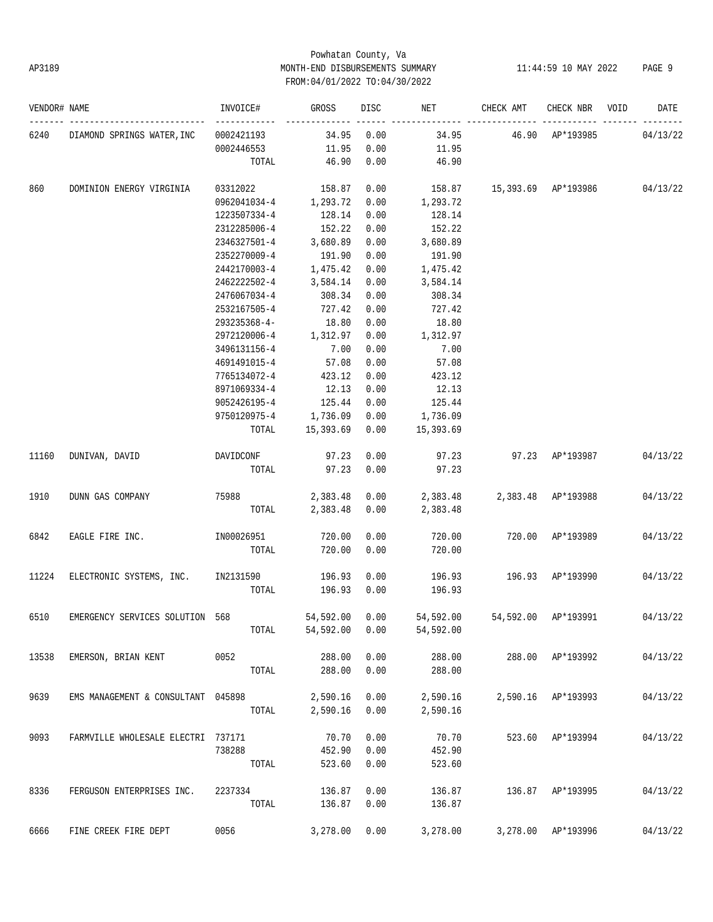# Powhatan County, Va AP3189 MONTH-END DISBURSEMENTS SUMMARY 11:44:59 10 MAY 2022 PAGE 9 FROM:04/01/2022 TO:04/30/2022

| VENDOR# NAME |                                    | INVOICE#                      | GROSS     | DISC | NET       | CHECK AMT                    | CHECK NBR          | VOID | DATE     |
|--------------|------------------------------------|-------------------------------|-----------|------|-----------|------------------------------|--------------------|------|----------|
| 6240         | DIAMOND SPRINGS WATER, INC         | 0002421193                    | 34.95     | 0.00 | 34.95     |                              | 46.90 AP*193985    |      | 04/13/22 |
|              |                                    | 0002446553                    | 11.95     | 0.00 | 11.95     |                              |                    |      |          |
|              |                                    | TOTAL                         | 46.90     | 0.00 | 46.90     |                              |                    |      |          |
| 860          | DOMINION ENERGY VIRGINIA           | 03312022                      | 158.87    | 0.00 | 158.87    | 15,393.69 AP*193986 04/13/22 |                    |      |          |
|              |                                    | 0962041034-4                  | 1,293.72  | 0.00 | 1,293.72  |                              |                    |      |          |
|              |                                    | 1223507334-4                  | 128.14    | 0.00 | 128.14    |                              |                    |      |          |
|              |                                    | 2312285006-4                  | 152.22    | 0.00 | 152.22    |                              |                    |      |          |
|              |                                    | 2346327501-4                  | 3,680.89  | 0.00 | 3,680.89  |                              |                    |      |          |
|              |                                    | 2352270009-4                  | 191.90    | 0.00 | 191.90    |                              |                    |      |          |
|              |                                    | 2442170003-4                  | 1,475.42  | 0.00 | 1,475.42  |                              |                    |      |          |
|              |                                    | 2462222502-4                  | 3,584.14  | 0.00 | 3,584.14  |                              |                    |      |          |
|              |                                    | 2476067034-4                  | 308.34    | 0.00 | 308.34    |                              |                    |      |          |
|              |                                    | 2532167505-4                  | 727.42    | 0.00 | 727.42    |                              |                    |      |          |
|              |                                    | 293235368-4-                  | 18.80     | 0.00 | 18.80     |                              |                    |      |          |
|              |                                    | 2972120006-4                  | 1,312.97  | 0.00 | 1,312.97  |                              |                    |      |          |
|              |                                    | 3496131156-4                  | 7.00      | 0.00 | 7.00      |                              |                    |      |          |
|              |                                    | 4691491015-4                  | 57.08     | 0.00 | 57.08     |                              |                    |      |          |
|              |                                    | 7765134072-4                  | 423.12    | 0.00 | 423.12    |                              |                    |      |          |
|              |                                    | 8971069334-4                  | 12.13     | 0.00 | 12.13     |                              |                    |      |          |
|              |                                    | 9052426195-4                  | 125.44    | 0.00 | 125.44    |                              |                    |      |          |
|              |                                    | 9750120975-4                  | 1,736.09  | 0.00 | 1,736.09  |                              |                    |      |          |
|              |                                    | TOTAL                         | 15,393.69 | 0.00 | 15,393.69 |                              |                    |      |          |
| 11160        | DUNIVAN, DAVID                     | DAVIDCONF                     | 97.23     | 0.00 | 97.23     |                              | 97.23 AP*193987    |      | 04/13/22 |
|              |                                    | TOTAL                         | 97.23     | 0.00 | 97.23     |                              |                    |      |          |
| 1910         | DUNN GAS COMPANY                   | 75988 and the state of $\sim$ | 2,383.48  | 0.00 | 2,383.48  |                              | 2,383.48 AP*193988 |      | 04/13/22 |
|              |                                    | TOTAL                         | 2,383.48  | 0.00 | 2,383.48  |                              |                    |      |          |
| 6842         | EAGLE FIRE INC.                    | IN00026951                    | 720.00    | 0.00 | 720.00    | 720.00                       | AP*193989          |      | 04/13/22 |
|              |                                    | TOTAL                         | 720.00    | 0.00 | 720.00    |                              |                    |      |          |
| 11224        | ELECTRONIC SYSTEMS, INC. IN2131590 |                               | 196.93    | 0.00 | 196.93    |                              | 196.93 AP*193990   |      | 04/13/22 |
|              |                                    | TOTAL                         | 196.93    | 0.00 | 196.93    |                              |                    |      |          |
| 6510         | EMERGENCY SERVICES SOLUTION 568    |                               | 54,592.00 | 0.00 | 54,592.00 | 54,592.00                    | AP*193991          |      | 04/13/22 |
|              |                                    | TOTAL                         | 54,592.00 | 0.00 | 54,592.00 |                              |                    |      |          |
| 13538        | EMERSON, BRIAN KENT                | 0052                          | 288.00    | 0.00 | 288.00    |                              | 288.00 AP*193992   |      | 04/13/22 |
|              |                                    | TOTAL                         | 288.00    | 0.00 | 288.00    |                              |                    |      |          |
| 9639         | EMS MANAGEMENT & CONSULTANT 045898 |                               | 2,590.16  | 0.00 | 2,590.16  |                              | 2,590.16 AP*193993 |      | 04/13/22 |
|              |                                    | TOTAL                         | 2,590.16  | 0.00 | 2,590.16  |                              |                    |      |          |
| 9093         | FARMVILLE WHOLESALE ELECTRI 737171 |                               | 70.70     | 0.00 | 70.70     |                              | 523.60 AP*193994   |      | 04/13/22 |
|              |                                    | 738288                        | 452.90    | 0.00 | 452.90    |                              |                    |      |          |
|              |                                    | TOTAL                         | 523.60    | 0.00 | 523.60    |                              |                    |      |          |
| 8336         | FERGUSON ENTERPRISES INC.          | 2237334                       | 136.87    | 0.00 | 136.87    |                              | 136.87 AP*193995   |      | 04/13/22 |
|              |                                    | TOTAL                         | 136.87    | 0.00 | 136.87    |                              |                    |      |          |
| 6666         | FINE CREEK FIRE DEPT               | 0056                          | 3,278.00  | 0.00 | 3,278.00  |                              | 3,278.00 AP*193996 |      | 04/13/22 |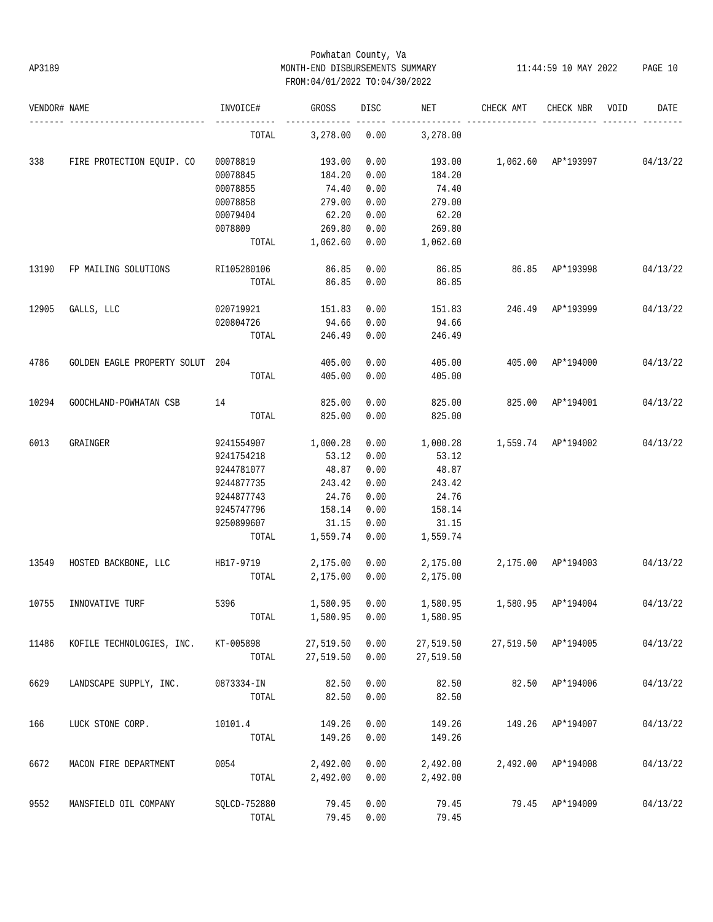# Powhatan County, Va AP3189 MONTH-END DISBURSEMENTS SUMMARY 11:44:59 10 MAY 2022 PAGE 10 FROM:04/01/2022 TO:04/30/2022

| VENDOR# NAME |                                 | INVOICE#     | GROSS     | DISC | NET       | CHECK AMT                       | CHECK NBR           | VOID | DATE     |
|--------------|---------------------------------|--------------|-----------|------|-----------|---------------------------------|---------------------|------|----------|
|              |                                 | TOTAL        | 3,278.00  | 0.00 | 3,278.00  |                                 |                     |      |          |
| 338          | FIRE PROTECTION EQUIP. CO       | 00078819     | 193.00    | 0.00 | 193.00    | 1,062.60 AP*193997              |                     |      | 04/13/22 |
|              |                                 | 00078845     | 184.20    | 0.00 | 184.20    |                                 |                     |      |          |
|              |                                 | 00078855     | 74.40     | 0.00 | 74.40     |                                 |                     |      |          |
|              |                                 | 00078858     | 279.00    | 0.00 | 279.00    |                                 |                     |      |          |
|              |                                 | 00079404     | 62.20     | 0.00 | 62.20     |                                 |                     |      |          |
|              |                                 | 0078809      | 269.80    | 0.00 | 269.80    |                                 |                     |      |          |
|              |                                 | TOTAL        | 1,062.60  | 0.00 | 1,062.60  |                                 |                     |      |          |
| 13190        | FP MAILING SOLUTIONS            | RI105280106  | 86.85     | 0.00 | 86.85     | 86.85                           | AP*193998           |      | 04/13/22 |
|              |                                 | TOTAL        | 86.85     | 0.00 | 86.85     |                                 |                     |      |          |
| 12905        | GALLS, LLC                      | 020719921    | 151.83    | 0.00 | 151.83    | 246.49                          | AP*193999           |      | 04/13/22 |
|              |                                 | 020804726    | 94.66     | 0.00 | 94.66     |                                 |                     |      |          |
|              |                                 | TOTAL        | 246.49    | 0.00 | 246.49    |                                 |                     |      |          |
| 4786         | GOLDEN EAGLE PROPERTY SOLUT 204 |              | 405.00    | 0.00 | 405.00    |                                 | 405.00 AP*194000    |      | 04/13/22 |
|              |                                 | TOTAL        | 405.00    | 0.00 | 405.00    |                                 |                     |      |          |
| 10294        | GOOCHLAND-POWHATAN CSB          | 14           | 825.00    | 0.00 | 825.00    | 825.00                          | AP*194001           |      | 04/13/22 |
|              |                                 | TOTAL        | 825.00    | 0.00 | 825.00    |                                 |                     |      |          |
| 6013         | GRAINGER                        | 9241554907   | 1,000.28  | 0.00 | 1,000.28  | 1,559.74 AP*194002              |                     |      | 04/13/22 |
|              |                                 | 9241754218   | 53.12     | 0.00 | 53.12     |                                 |                     |      |          |
|              |                                 | 9244781077   | 48.87     | 0.00 | 48.87     |                                 |                     |      |          |
|              |                                 | 9244877735   | 243.42    | 0.00 | 243.42    |                                 |                     |      |          |
|              |                                 | 9244877743   | 24.76     | 0.00 | 24.76     |                                 |                     |      |          |
|              |                                 | 9245747796   | 158.14    | 0.00 | 158.14    |                                 |                     |      |          |
|              |                                 | 9250899607   | 31.15     | 0.00 | 31.15     |                                 |                     |      |          |
|              |                                 | TOTAL        | 1,559.74  | 0.00 | 1,559.74  |                                 |                     |      |          |
| 13549        | HOSTED BACKBONE, LLC            | HB17-9719    | 2,175.00  | 0.00 | 2,175.00  |                                 | 2,175.00 AP*194003  |      | 04/13/22 |
|              |                                 | TOTAL        | 2,175.00  | 0.00 | 2,175.00  |                                 |                     |      |          |
| 10755        | INNOVATIVE TURF                 | 5396         | 1,580.95  | 0.00 |           | 1,580.95   1,580.95   AP*194004 |                     |      | 04/13/22 |
|              |                                 | TOTAL        | 1,580.95  | 0.00 | 1,580.95  |                                 |                     |      |          |
| 11486        | KOFILE TECHNOLOGIES, INC.       | KT-005898    | 27,519.50 | 0.00 | 27,519.50 |                                 | 27,519.50 AP*194005 |      | 04/13/22 |
|              |                                 | TOTAL        | 27,519.50 | 0.00 | 27,519.50 |                                 |                     |      |          |
| 6629         | LANDSCAPE SUPPLY, INC.          | 0873334-IN   | 82.50     | 0.00 | 82.50     |                                 | 82.50 AP*194006     |      | 04/13/22 |
|              |                                 | TOTAL        | 82.50     | 0.00 | 82.50     |                                 |                     |      |          |
| 166          | LUCK STONE CORP.                | 10101.4      | 149.26    | 0.00 | 149.26    | 149.26                          | AP*194007           |      | 04/13/22 |
|              |                                 | TOTAL        | 149.26    | 0.00 | 149.26    |                                 |                     |      |          |
| 6672         | MACON FIRE DEPARTMENT           | 0054         | 2,492.00  | 0.00 | 2,492.00  | 2,492.00                        | AP*194008           |      | 04/13/22 |
|              |                                 | TOTAL        | 2,492.00  | 0.00 | 2,492.00  |                                 |                     |      |          |
| 9552         | MANSFIELD OIL COMPANY           | SQLCD-752880 | 79.45     | 0.00 | 79.45     |                                 | 79.45 AP*194009     |      | 04/13/22 |
|              |                                 | TOTAL        | 79.45     | 0.00 | 79.45     |                                 |                     |      |          |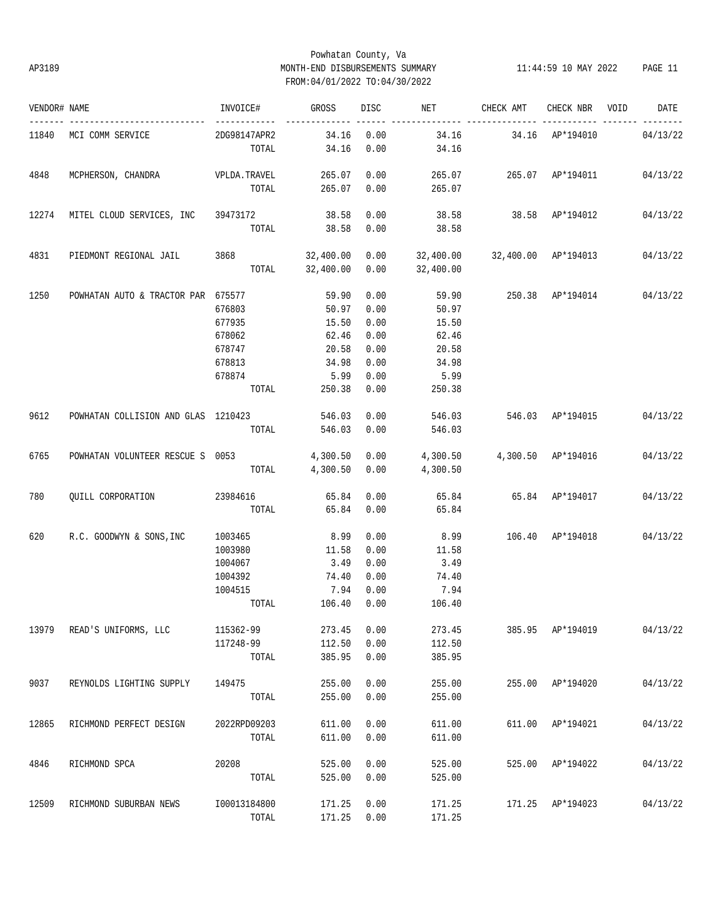# Powhatan County, Va AP3189 MONTH-END DISBURSEMENTS SUMMARY 11:44:59 10 MAY 2022 PAGE 11 FROM:04/01/2022 TO:04/30/2022

| VENDOR# NAME |                                                                                     | INVOICE#     | <b>GROSS</b>                 | DISC | NET <sub>1</sub>                   | CHECK AMT                            | CHECK NBR VOID   | DATE     |
|--------------|-------------------------------------------------------------------------------------|--------------|------------------------------|------|------------------------------------|--------------------------------------|------------------|----------|
|              | 11840 MCI COMM SERVICE                                                              | 2DG98147APR2 | 34.16 0.00                   |      |                                    |                                      |                  |          |
|              |                                                                                     | TOTAL        | 34.16                        | 0.00 | 34.16                              |                                      |                  |          |
| 4848         |                                                                                     |              |                              |      |                                    |                                      |                  |          |
|              |                                                                                     |              | TOTAL 265.07 0.00            |      | 265.07                             |                                      |                  |          |
| 12274        | MITEL CLOUD SERVICES, INC 39473172                                                  |              | 38.58                        | 0.00 |                                    | 38.58   38.58   AP*194012   04/13/22 |                  |          |
|              |                                                                                     |              | TOTAL 38.58                  | 0.00 | 38.58                              |                                      |                  |          |
| 4831         | PIEDMONT REGIONAL JAIL 3868 32,400.00 0.00 32,400.00 32,400.00 AP*194013            |              |                              |      |                                    |                                      |                  | 04/13/22 |
|              |                                                                                     |              |                              |      | TOTAL 32,400.00 0.00 32,400.00     |                                      |                  |          |
| 1250         | POWHATAN AUTO & TRACTOR PAR 675577                                                  |              | 59.90                        | 0.00 | 59.90  250.38  AP*194014  04/13/22 |                                      |                  |          |
|              |                                                                                     | 676803       | 50.97                        | 0.00 | 50.97                              |                                      |                  |          |
|              |                                                                                     | 677935       | 15.50                        | 0.00 | 15.50                              |                                      |                  |          |
|              |                                                                                     | 678062       | 62.46                        | 0.00 | 62.46                              |                                      |                  |          |
|              |                                                                                     | 678747       | 20.58                        | 0.00 | 20.58                              |                                      |                  |          |
|              |                                                                                     | 678813       | 34.98                        | 0.00 | 34.98                              |                                      |                  |          |
|              |                                                                                     | 678874       | 5.99                         | 0.00 | 5.99                               |                                      |                  |          |
|              |                                                                                     |              | TOTAL 250.38                 | 0.00 | 250.38                             |                                      |                  |          |
| 9612         | POWHATAN COLLISION AND GLAS 1210423                                                 |              | 546.03 0.00                  |      |                                    | 546.03 546.03 AP*194015              |                  | 04/13/22 |
|              |                                                                                     | TOTAL        | 546.03 0.00                  |      | 546.03                             |                                      |                  |          |
| 6765         | POWHATAN VOLUNTEER RESCUE S 0053 4,300.50 0.00 4,300.50 4,300.50 AP*194016 04/13/22 |              |                              |      |                                    |                                      |                  |          |
|              |                                                                                     |              | TOTAL 4,300.50 0.00 4,300.50 |      |                                    |                                      |                  |          |
| 780          | QUILL CORPORATION 23984616 65.84                                                    |              |                              | 0.00 | 65.84 65.84 AP*194017              |                                      |                  | 04/13/22 |
|              |                                                                                     | TOTAL 65.84  |                              | 0.00 | 65.84                              |                                      |                  |          |
| 620          | R.C. GOODWYN & SONS, INC 1003465                                                    |              | 8.99                         | 0.00 |                                    | 8.99 106.40 AP*194018 04/13/22       |                  |          |
|              |                                                                                     | 1003980      | 11.58                        | 0.00 | 11.58                              |                                      |                  |          |
|              |                                                                                     | 1004067      | 3.49                         | 0.00 | 3.49                               |                                      |                  |          |
|              |                                                                                     | 1004392      | 74.40                        | 0.00 | 74.40                              |                                      |                  |          |
|              |                                                                                     | 1004515      | 7.94                         | 0.00 | 7.94                               |                                      |                  |          |
|              |                                                                                     |              | TOTAL 106.40                 | 0.00 | 106.40                             |                                      |                  |          |
| 13979        | READ'S UNIFORMS, LLC                                                                | 115362-99    | 273.45                       | 0.00 | 273.45                             |                                      | 385.95 AP*194019 | 04/13/22 |
|              |                                                                                     | 117248-99    | 112.50                       | 0.00 | 112.50                             |                                      |                  |          |
|              |                                                                                     | TOTAL        | 385.95                       | 0.00 | 385.95                             |                                      |                  |          |
| 9037         | REYNOLDS LIGHTING SUPPLY                                                            | 149475       | 255.00                       | 0.00 | 255.00                             |                                      | 255.00 AP*194020 | 04/13/22 |
|              |                                                                                     | TOTAL        | 255.00                       | 0.00 | 255.00                             |                                      |                  |          |
| 12865        | RICHMOND PERFECT DESIGN                                                             | 2022RPD09203 | 611.00                       | 0.00 | 611.00                             |                                      | 611.00 AP*194021 | 04/13/22 |
|              |                                                                                     | TOTAL        | 611.00                       | 0.00 | 611.00                             |                                      |                  |          |
| 4846         | RICHMOND SPCA                                                                       | 20208        | 525.00                       | 0.00 | 525.00                             |                                      | 525.00 AP*194022 | 04/13/22 |
|              |                                                                                     | TOTAL        | 525.00                       | 0.00 | 525.00                             |                                      |                  |          |
|              |                                                                                     | I00013184800 |                              | 0.00 | 171.25                             |                                      |                  | 04/13/22 |
| 12509        | RICHMOND SUBURBAN NEWS                                                              |              | 171.25                       |      |                                    |                                      | 171.25 AP*194023 |          |
|              |                                                                                     | TOTAL        | 171.25 0.00                  |      | 171.25                             |                                      |                  |          |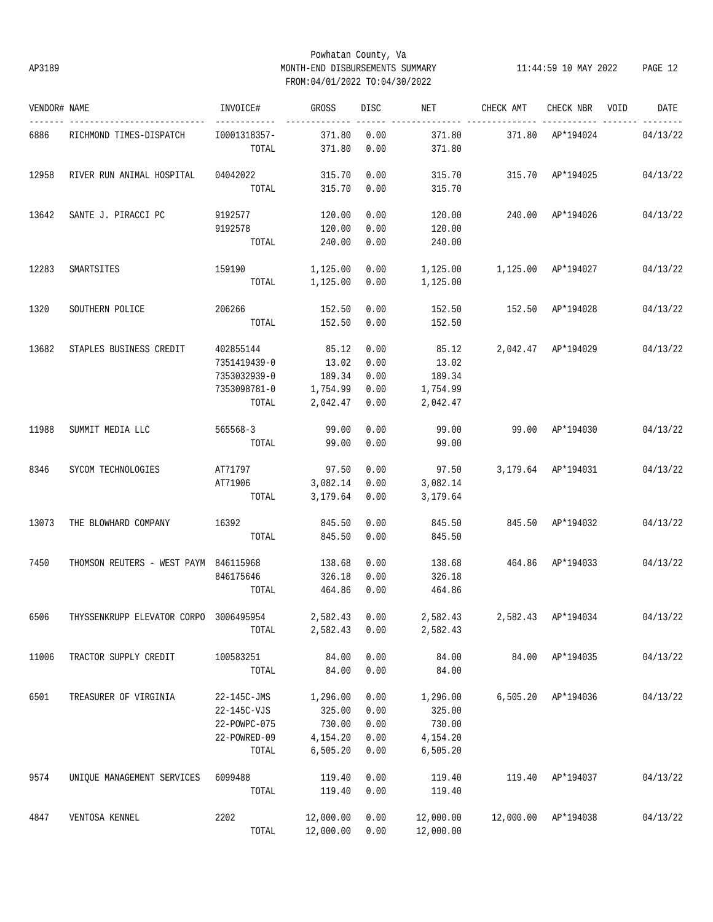## Powhatan County, Va AP3189 MONTH-END DISBURSEMENTS SUMMARY 11:44:59 10 MAY 2022 PAGE 12 FROM:04/01/2022 TO:04/30/2022

| VENDOR# NAME |                                                      | INVOICE#              | GROSS            | <b>DISC</b>  | NET              | CHECK AMT                                  | CHECK NBR          | VOID | DATE     |
|--------------|------------------------------------------------------|-----------------------|------------------|--------------|------------------|--------------------------------------------|--------------------|------|----------|
| 6886         | RICHMOND TIMES-DISPATCH                              | I0001318357-<br>TOTAL | 371.80<br>371.80 | 0.00<br>0.00 | 371.80<br>371.80 | 371.80                                     | AP*194024          |      | 04/13/22 |
| 12958        | RIVER RUN ANIMAL HOSPITAL                            | 04042022              | 315.70           | 0.00         | 315.70           | 315.70 AP*194025                           |                    |      | 04/13/22 |
|              |                                                      | TOTAL                 | 315.70           | 0.00         | 315.70           |                                            |                    |      |          |
| 13642        | SANTE J. PIRACCI PC                                  | 9192577               | 120.00           | 0.00         | 120.00           | 240.00 AP*194026 04/13/22                  |                    |      |          |
|              |                                                      | 9192578<br>TOTAL      | 120.00           | 0.00         | 120.00           |                                            |                    |      |          |
|              |                                                      |                       | 240.00           | 0.00         | 240.00           |                                            |                    |      |          |
| 12283        | SMARTSITES                                           | 159190                | 1,125.00         | 0.00         |                  | 1,125.00   1,125.00   AP*194027   04/13/22 |                    |      |          |
|              |                                                      | TOTAL                 | 1,125.00         | 0.00         | 1,125.00         |                                            |                    |      |          |
| 1320         | SOUTHERN POLICE                                      | 206266 152.50         |                  | 0.00         | 152.50           | 152.50 AP*194028                           |                    |      | 04/13/22 |
|              |                                                      | TOTAL                 | 152.50           | 0.00         | 152.50           |                                            |                    |      |          |
| 13682        | STAPLES BUSINESS CREDIT                              | 402855144             | 85.12            | 0.00         | 85.12            |                                            | 2,042.47 AP*194029 |      | 04/13/22 |
|              |                                                      | 7351419439-0          | 13.02            | 0.00         | 13.02            |                                            |                    |      |          |
|              |                                                      | 7353032939-0          | 189.34           | 0.00         | 189.34           |                                            |                    |      |          |
|              |                                                      | 7353098781-0          | 1,754.99         | 0.00         | 1,754.99         |                                            |                    |      |          |
|              |                                                      | TOTAL                 | 2,042.47         | 0.00         | 2,042.47         |                                            |                    |      |          |
| 11988        | SUMMIT MEDIA LLC                                     | 565568-3              | 99.00            | 0.00         | 99.00            | 99.00 AP*194030                            |                    |      | 04/13/22 |
|              |                                                      | TOTAL                 | 99.00            | 0.00         | 99.00            |                                            |                    |      |          |
| 8346         | SYCOM TECHNOLOGIES                                   | AT71797               | 97.50            | 0.00         | 97.50            |                                            | 3,179.64 AP*194031 |      | 04/13/22 |
|              |                                                      | AT71906               | 3,082.14         | 0.00         | 3,082.14         |                                            |                    |      |          |
|              |                                                      | TOTAL                 | 3,179.64         | 0.00         | 3,179.64         |                                            |                    |      |          |
| 13073        | THE BLOWHARD COMPANY                                 | 16392                 | 845.50           | 0.00         | 845.50           |                                            | 845.50 AP*194032   |      | 04/13/22 |
|              |                                                      | TOTAL                 | 845.50           | 0.00         | 845.50           |                                            |                    |      |          |
| 7450         | THOMSON REUTERS - WEST PAYM 846115968                |                       | 138.68           | 0.00         | 138.68           | 464.86 AP*194033                           |                    |      | 04/13/22 |
|              |                                                      | 846175646             | 326.18           | 0.00         | 326.18           |                                            |                    |      |          |
|              |                                                      | TOTAL                 | 464.86           | 0.00         | 464.86           |                                            |                    |      |          |
| 6506         | THYSSENKRUPP ELEVATOR CORPO 3006495954 2,582.43 0.00 |                       |                  |              |                  | 2,582.43 2,582.43 AP*194034 04/13/22       |                    |      |          |
|              |                                                      | TOTAL                 | 2,582.43         | 0.00         | 2,582.43         |                                            |                    |      |          |
| 11006        | TRACTOR SUPPLY CREDIT                                | 100583251             | 84.00            | 0.00         | 84.00            |                                            | 84.00 AP*194035    |      | 04/13/22 |
|              |                                                      | TOTAL                 | 84.00            | 0.00         | 84.00            |                                            |                    |      |          |
| 6501         | TREASURER OF VIRGINIA                                | 22-145C-JMS           | 1,296.00         | 0.00         | 1,296.00         |                                            | 6,505.20 AP*194036 |      | 04/13/22 |
|              |                                                      | 22-145C-VJS           | 325.00           | 0.00         | 325.00           |                                            |                    |      |          |
|              |                                                      | 22-POWPC-075          | 730.00           | 0.00         | 730.00           |                                            |                    |      |          |
|              |                                                      | 22-POWRED-09          | 4,154.20         | 0.00         | 4,154.20         |                                            |                    |      |          |
|              |                                                      | TOTAL                 | 6, 505.20        | 0.00         | 6,505.20         |                                            |                    |      |          |
| 9574         | UNIQUE MANAGEMENT SERVICES                           | 6099488               | 119.40           | 0.00         | 119.40           | 119.40                                     | AP*194037          |      | 04/13/22 |
|              |                                                      | TOTAL                 | 119.40           | 0.00         | 119.40           |                                            |                    |      |          |
| 4847         | VENTOSA KENNEL                                       | 2202                  | 12,000.00        | 0.00         | 12,000.00        | 12,000.00                                  | AP*194038          |      | 04/13/22 |
|              |                                                      | TOTAL                 | 12,000.00        | 0.00         | 12,000.00        |                                            |                    |      |          |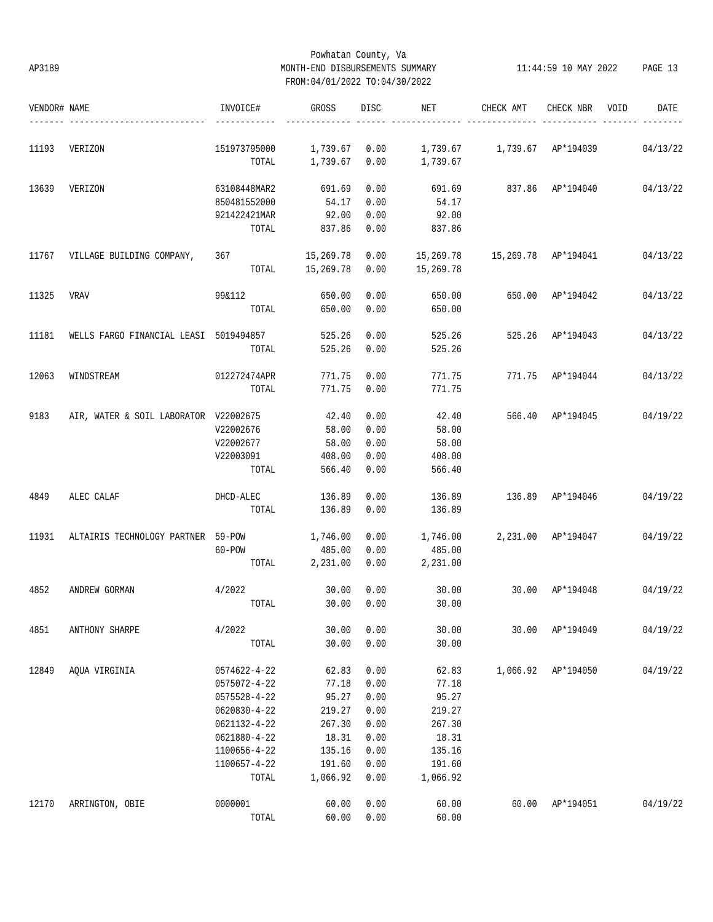## Powhatan County, Va AP3189 MONTH-END DISBURSEMENTS SUMMARY 11:44:59 10 MAY 2022 PAGE 13 FROM:04/01/2022 TO:04/30/2022

| VENDOR# NAME |                                               | INVOICE#     | GROSS         | DISC | NET       | CHECK AMT           | CHECK NBR          | VOID<br>DATE              |
|--------------|-----------------------------------------------|--------------|---------------|------|-----------|---------------------|--------------------|---------------------------|
| 11193        | VERIZON                                       | 151973795000 | 1,739.67 0.00 |      |           |                     |                    | 04/13/22                  |
|              |                                               | TOTAL        | 1,739.67      | 0.00 | 1,739.67  |                     |                    |                           |
| 13639        | VERIZON                                       | 63108448MAR2 | 691.69        | 0.00 | 691.69    |                     |                    | 837.86 AP*194040 04/13/22 |
|              |                                               | 850481552000 | 54.17         | 0.00 | 54.17     |                     |                    |                           |
|              |                                               | 921422421MAR | 92.00         | 0.00 | 92.00     |                     |                    |                           |
|              |                                               | TOTAL        | 837.86        | 0.00 | 837.86    |                     |                    |                           |
| 11767        | VILLAGE BUILDING COMPANY,                     | 367          | 15,269.78     | 0.00 | 15,269.78 | 15,269.78 AP*194041 |                    | 04/13/22                  |
|              |                                               | TOTAL        | 15,269.78     | 0.00 | 15,269.78 |                     |                    |                           |
| 11325        | <b>VRAV</b>                                   | 99&112       | 650.00        | 0.00 | 650.00    | 650.00 AP*194042    |                    | 04/13/22                  |
|              |                                               | TOTAL        | 650.00        | 0.00 | 650.00    |                     |                    |                           |
| 11181        | WELLS FARGO FINANCIAL LEASI 5019494857 525.26 |              |               | 0.00 | 525.26    | 525.26 AP*194043    |                    | 04/13/22                  |
|              |                                               | TOTAL        | 525.26        | 0.00 | 525.26    |                     |                    |                           |
| 12063        | WINDSTREAM                                    | 012272474APR | 771.75        | 0.00 | 771.75    |                     | 771.75 AP*194044   | 04/13/22                  |
|              |                                               | TOTAL        | 771.75        | 0.00 | 771.75    |                     |                    |                           |
| 9183         | AIR, WATER & SOIL LABORATOR V22002675         |              | 42.40         | 0.00 | 42.40     |                     | 566.40 AP*194045   | 04/19/22                  |
|              |                                               | V22002676    | 58.00         | 0.00 | 58.00     |                     |                    |                           |
|              |                                               | V22002677    | 58.00         | 0.00 | 58.00     |                     |                    |                           |
|              |                                               | V22003091    | 408.00        | 0.00 | 408.00    |                     |                    |                           |
|              |                                               | TOTAL        | 566.40        | 0.00 | 566.40    |                     |                    |                           |
| 4849         | ALEC CALAF                                    | DHCD-ALEC    | 136.89        | 0.00 | 136.89    | 136.89 AP*194046    |                    | 04/19/22                  |
|              |                                               | TOTAL        | 136.89        | 0.00 | 136.89    |                     |                    |                           |
| 11931        | ALTAIRIS TECHNOLOGY PARTNER 59-POW            |              | 1,746.00      | 0.00 | 1,746.00  | 2,231.00 AP*194047  |                    | 04/19/22                  |
|              |                                               | 60-POW       | 485.00        | 0.00 | 485.00    |                     |                    |                           |
|              |                                               | TOTAL        | 2,231.00      | 0.00 | 2,231.00  |                     |                    |                           |
| 4852         | ANDREW GORMAN                                 | 4/2022       | 30.00         | 0.00 | 30.00     | 30.00 AP*194048     |                    | 04/19/22                  |
|              |                                               | TOTAL        | 30.00         | 0.00 | 30.00     |                     |                    |                           |
| 4851         | ANTHONY SHARPE                                | 4/2022       | 30.00         | 0.00 | 30.00     | 30.00               | AP*194049          | 04/19/22                  |
|              |                                               | TOTAL        | 30.00         | 0.00 | 30.00     |                     |                    |                           |
| 12849        | AOUA VIRGINIA                                 | 0574622-4-22 | 62.83         | 0.00 | 62.83     |                     | 1,066.92 AP*194050 | 04/19/22                  |
|              |                                               | 0575072-4-22 | 77.18         | 0.00 | 77.18     |                     |                    |                           |
|              |                                               | 0575528-4-22 | 95.27         | 0.00 | 95.27     |                     |                    |                           |
|              |                                               | 0620830-4-22 | 219.27        | 0.00 | 219.27    |                     |                    |                           |
|              |                                               | 0621132-4-22 | 267.30        | 0.00 | 267.30    |                     |                    |                           |
|              |                                               | 0621880-4-22 | 18.31         | 0.00 | 18.31     |                     |                    |                           |
|              |                                               | 1100656-4-22 | 135.16        | 0.00 | 135.16    |                     |                    |                           |
|              |                                               | 1100657-4-22 | 191.60        | 0.00 | 191.60    |                     |                    |                           |
|              |                                               | TOTAL        | 1,066.92      | 0.00 | 1,066.92  |                     |                    |                           |
| 12170        | ARRINGTON, OBIE                               | 0000001      | 60.00         | 0.00 | 60.00     | 60.00               | AP*194051          | 04/19/22                  |
|              |                                               | TOTAL        | 60.00         | 0.00 | 60.00     |                     |                    |                           |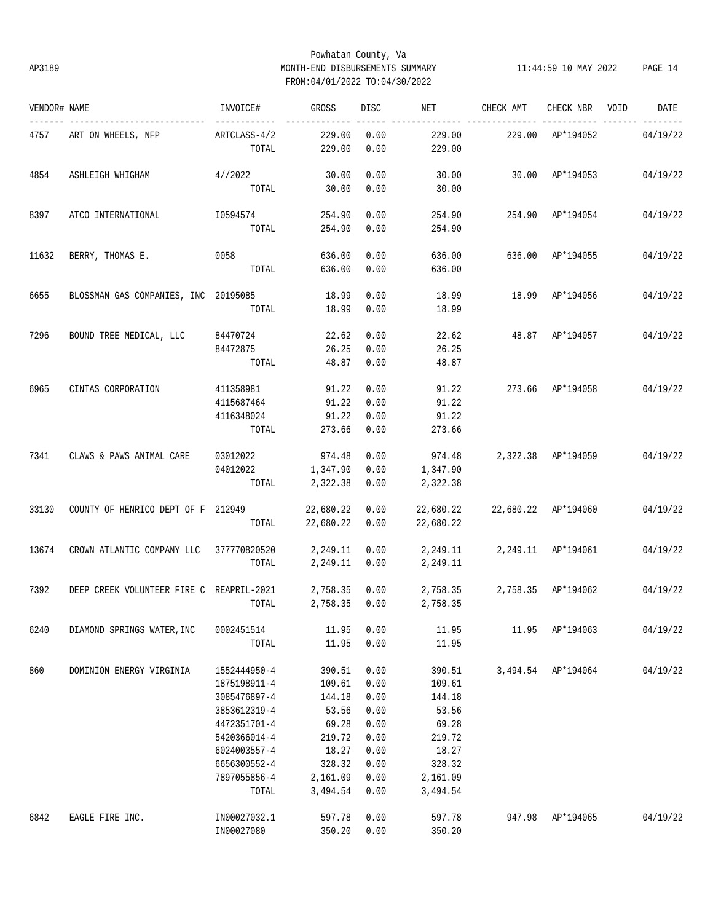## Powhatan County, Va AP3189 MONTH-END DISBURSEMENTS SUMMARY 11:44:59 10 MAY 2022 PAGE 14 FROM:04/01/2022 TO:04/30/2022

| VENDOR# NAME |                                          | INVOICE#        | GROSS          | DISC       | NET <b>NET</b>              | CHECK AMT           | CHECK NBR VOID     | DATE                        |
|--------------|------------------------------------------|-----------------|----------------|------------|-----------------------------|---------------------|--------------------|-----------------------------|
| 4757         | ART ON WHEELS, NFP                       | ARTCLASS-4/2    | 229.00         | 0.00       | 229.00                      | 229.00 AP*194052    |                    | 04/19/22                    |
|              |                                          | TOTAL           | 229.00         | 0.00       | 229.00                      |                     |                    |                             |
| 4854         | ASHLEIGH WHIGHAM                         | 4//2022         | 30.00          | 0.00       | 30.00                       | 30.00 AP*194053     |                    | 04/19/22                    |
|              |                                          |                 | TOTAL 30.00    | 0.00       | 30.00                       |                     |                    |                             |
| 8397         | ATCO INTERNATIONAL                       | I0594574        | 254.90         | 0.00       | 254.90                      | 254.90 AP*194054    |                    | 04/19/22                    |
|              |                                          | TOTAL           | 254.90         | 0.00       | 254.90                      |                     |                    |                             |
| 11632        | BERRY, THOMAS E. 0058                    |                 | 636.00         | 0.00       | 636.00                      | 636.00 AP*194055    |                    | 04/19/22                    |
|              |                                          | TOTAL           | 636.00         | 0.00       | 636.00                      |                     |                    |                             |
| 6655         | BLOSSMAN GAS COMPANIES, INC 20195085     |                 | 18.99          | 0.00       | 18.99                       |                     | 18.99 AP*194056    | 04/19/22                    |
|              |                                          | TOTAL           |                | 18.99 0.00 | 18.99                       |                     |                    |                             |
| 7296         | BOUND TREE MEDICAL, LLC 84470724         |                 | 22.62          | 0.00       | 22.62                       | 48.87 AP*194057     |                    | 04/19/22                    |
|              |                                          | 84472875        | 26.25          | 0.00       | 26.25                       |                     |                    |                             |
|              |                                          | TOTAL           | 48.87          | 0.00       | 48.87                       |                     |                    |                             |
| 6965         | CINTAS CORPORATION                       | 411358981 91.22 |                | 0.00       | 91.22                       |                     |                    | 273.66 AP*194058 04/19/22   |
|              |                                          | 4115687464      | 91.22          | 0.00       | 91.22                       |                     |                    |                             |
|              |                                          | 4116348024      | 91.22          | 0.00       | 91.22                       |                     |                    |                             |
|              |                                          | TOTAL           | 273.66         | 0.00       | 273.66                      |                     |                    |                             |
| 7341         | CLAWS & PAWS ANIMAL CARE                 | 03012022        | 974.48         | 0.00       | 974.48                      |                     |                    | 2,322.38 AP*194059 04/19/22 |
|              |                                          | 04012022        | 1,347.90       | 0.00       | 1,347.90                    |                     |                    |                             |
|              |                                          | TOTAL           | 2,322.38       | 0.00       | 2,322.38                    |                     |                    |                             |
| 33130        | COUNTY OF HENRICO DEPT OF F 212949       |                 | 22,680.22 0.00 |            | 22,680.22                   | 22,680.22 AP*194060 |                    | 04/19/22                    |
|              |                                          | TOTAL           | 22,680.22 0.00 |            | 22,680.22                   |                     |                    |                             |
| 13674        | CROWN ATLANTIC COMPANY LLC 377770820520  |                 | 2,249.11 0.00  |            | 2,249.11 2,249.11 AP*194061 |                     |                    | 04/19/22                    |
|              |                                          | TOTAL           | 2,249.11 0.00  |            | 2,249.11                    |                     |                    |                             |
| 7392         | DEEP CREEK VOLUNTEER FIRE C REAPRIL-2021 |                 | 2,758.35 0.00  |            | 2,758.35 2,758.35 AP*194062 |                     |                    | 04/19/22                    |
|              |                                          | TOTAL           | 2,758.35 0.00  |            | 2,758.35                    |                     |                    |                             |
| 6240         | DIAMOND SPRINGS WATER, INC               | 0002451514      | 11.95          | 0.00       | 11.95                       |                     | 11.95 AP*194063    | 04/19/22                    |
|              |                                          | TOTAL           | 11.95          | 0.00       | 11.95                       |                     |                    |                             |
| 860          | DOMINION ENERGY VIRGINIA                 | 1552444950-4    | 390.51         | 0.00       | 390.51                      |                     | 3,494.54 AP*194064 | 04/19/22                    |
|              |                                          | 1875198911-4    | 109.61         | 0.00       | 109.61                      |                     |                    |                             |
|              |                                          | 3085476897-4    | 144.18         | 0.00       | 144.18                      |                     |                    |                             |
|              |                                          | 3853612319-4    | 53.56          | 0.00       | 53.56                       |                     |                    |                             |
|              |                                          | 4472351701-4    | 69.28          | 0.00       | 69.28                       |                     |                    |                             |
|              |                                          | 5420366014-4    | 219.72         | 0.00       | 219.72                      |                     |                    |                             |
|              |                                          | 6024003557-4    | 18.27          | 0.00       | 18.27                       |                     |                    |                             |
|              |                                          | 6656300552-4    | 328.32         | 0.00       | 328.32                      |                     |                    |                             |
|              |                                          | 7897055856-4    | 2,161.09       | 0.00       | 2,161.09                    |                     |                    |                             |
|              |                                          | TOTAL           | 3,494.54       | 0.00       | 3,494.54                    |                     |                    |                             |
| 6842         | EAGLE FIRE INC.                          | IN00027032.1    | 597.78         | 0.00       | 597.78                      | 947.98              | AP*194065          | 04/19/22                    |
|              |                                          | IN00027080      | 350.20         | 0.00       | 350.20                      |                     |                    |                             |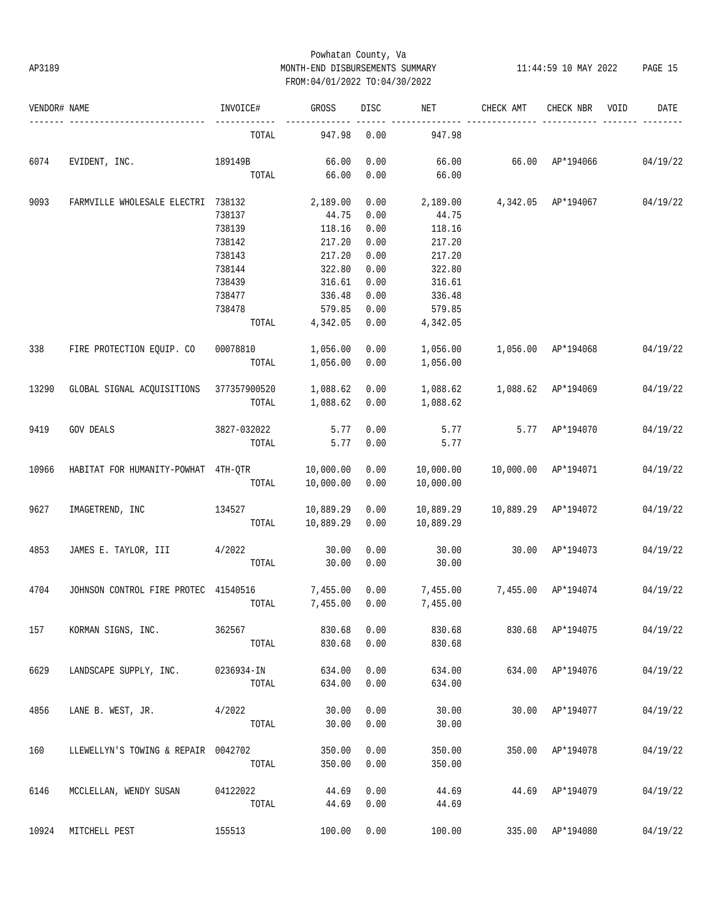## Powhatan County, Va AP3189 MONTH-END DISBURSEMENTS SUMMARY 11:44:59 10 MAY 2022 PAGE 15 FROM:04/01/2022 TO:04/30/2022

| VENDOR# NAME |                                         | INVOICE#    | GROSS     | DISC | NET       | CHECK AMT           | CHECK NBR          | VOID | DATE     |
|--------------|-----------------------------------------|-------------|-----------|------|-----------|---------------------|--------------------|------|----------|
|              |                                         | TOTAL       | 947.98    | 0.00 | 947.98    |                     |                    |      |          |
| 6074         | EVIDENT, INC.                           | 189149B     | 66.00     | 0.00 | 66.00     | 66.00 AP*194066     |                    |      | 04/19/22 |
|              |                                         | TOTAL       | 66.00     | 0.00 | 66.00     |                     |                    |      |          |
| 9093         | FARMVILLE WHOLESALE ELECTRI 738132      |             | 2,189.00  | 0.00 | 2,189.00  |                     | 4,342.05 AP*194067 |      | 04/19/22 |
|              |                                         | 738137      | 44.75     | 0.00 | 44.75     |                     |                    |      |          |
|              |                                         | 738139      | 118.16    | 0.00 | 118.16    |                     |                    |      |          |
|              |                                         | 738142      | 217.20    | 0.00 | 217.20    |                     |                    |      |          |
|              |                                         | 738143      | 217.20    | 0.00 | 217.20    |                     |                    |      |          |
|              |                                         | 738144      | 322.80    | 0.00 | 322.80    |                     |                    |      |          |
|              |                                         | 738439      | 316.61    | 0.00 | 316.61    |                     |                    |      |          |
|              |                                         | 738477      | 336.48    | 0.00 | 336.48    |                     |                    |      |          |
|              |                                         | 738478      | 579.85    | 0.00 | 579.85    |                     |                    |      |          |
|              |                                         | TOTAL       | 4,342.05  | 0.00 | 4,342.05  |                     |                    |      |          |
| 338          | FIRE PROTECTION EQUIP. CO               | 00078810    | 1,056.00  | 0.00 | 1,056.00  | 1,056.00 AP*194068  |                    |      | 04/19/22 |
|              |                                         | TOTAL       | 1,056.00  | 0.00 | 1,056.00  |                     |                    |      |          |
| 13290        | GLOBAL SIGNAL ACQUISITIONS 377357900520 |             | 1,088.62  | 0.00 | 1,088.62  | 1,088.62 AP*194069  |                    |      | 04/19/22 |
|              |                                         | TOTAL       | 1,088.62  | 0.00 | 1,088.62  |                     |                    |      |          |
| 9419         | <b>GOV DEALS</b>                        | 3827-032022 | 5.77      | 0.00 | 5.77      |                     | 5.77 AP*194070     |      | 04/19/22 |
|              |                                         | TOTAL       | 5.77      | 0.00 | 5.77      |                     |                    |      |          |
| 10966        | HABITAT FOR HUMANITY-POWHAT 4TH-QTR     |             | 10,000.00 | 0.00 | 10,000.00 | 10,000.00 AP*194071 |                    |      | 04/19/22 |
|              |                                         | TOTAL       | 10,000.00 | 0.00 | 10,000.00 |                     |                    |      |          |
| 9627         | IMAGETREND, INC                         | 134527      | 10,889.29 | 0.00 | 10,889.29 | 10,889.29 AP*194072 |                    |      | 04/19/22 |
|              |                                         | TOTAL       | 10,889.29 | 0.00 | 10,889.29 |                     |                    |      |          |
| 4853         | JAMES E. TAYLOR, III 4/2022             |             | 30.00     | 0.00 | 30.00     | 30.00               | AP*194073          |      | 04/19/22 |
|              |                                         | TOTAL       | 30.00     | 0.00 | 30.00     |                     |                    |      |          |
|              |                                         |             |           |      |           |                     |                    |      |          |
| 4704         | JOHNSON CONTROL FIRE PROTEC 41540516    |             | 7,455.00  | 0.00 | 7,455.00  |                     | 7,455.00 AP*194074 |      | 04/19/22 |
|              |                                         | TOTAL       | 7,455.00  | 0.00 | 7,455.00  |                     |                    |      |          |
| 157          | KORMAN SIGNS, INC.                      | 362567      | 830.68    | 0.00 | 830.68    |                     | 830.68 AP*194075   |      | 04/19/22 |
|              |                                         | TOTAL       | 830.68    | 0.00 | 830.68    |                     |                    |      |          |
| 6629         | LANDSCAPE SUPPLY, INC.                  | 0236934-IN  | 634.00    | 0.00 | 634.00    |                     | 634.00 AP*194076   |      | 04/19/22 |
|              |                                         | TOTAL       | 634.00    | 0.00 | 634.00    |                     |                    |      |          |
| 4856         | LANE B. WEST, JR.                       | 4/2022      | 30.00     | 0.00 | 30.00     |                     | 30.00 AP*194077    |      | 04/19/22 |
|              |                                         | TOTAL       | 30.00     | 0.00 | 30.00     |                     |                    |      |          |
| 160          | LLEWELLYN'S TOWING & REPAIR 0042702     |             | 350.00    | 0.00 | 350.00    |                     | 350.00 AP*194078   |      | 04/19/22 |
|              |                                         | TOTAL       | 350.00    | 0.00 | 350.00    |                     |                    |      |          |
| 6146         | MCCLELLAN, WENDY SUSAN                  | 04122022    | 44.69     | 0.00 | 44.69     |                     | 44.69 AP*194079    |      | 04/19/22 |
|              |                                         | TOTAL       | 44.69     | 0.00 | 44.69     |                     |                    |      |          |
| 10924        | MITCHELL PEST                           | 155513      | 100.00    | 0.00 | 100.00    |                     | 335.00 AP*194080   |      | 04/19/22 |
|              |                                         |             |           |      |           |                     |                    |      |          |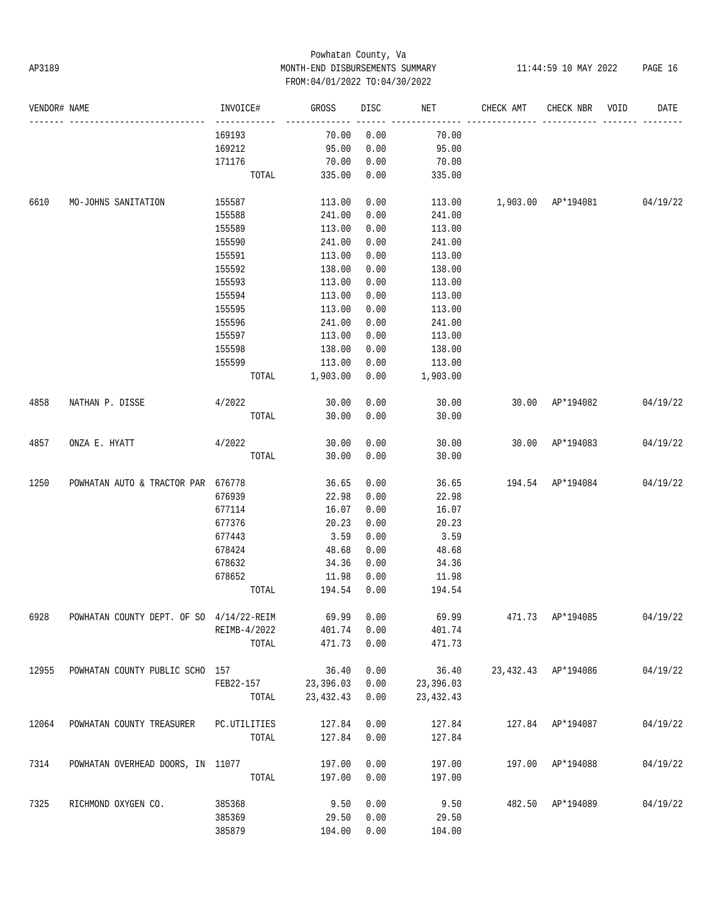# Powhatan County, Va AP3189 MONTH-END DISBURSEMENTS SUMMARY 11:44:59 10 MAY 2022 PAGE 16 FROM:04/01/2022 TO:04/30/2022

| VENDOR# NAME |                                                     | INVOICE#              | GROSS               | DISC | NET         | CHECK AMT                   | CHECK NBR VOID   | DATE     |
|--------------|-----------------------------------------------------|-----------------------|---------------------|------|-------------|-----------------------------|------------------|----------|
|              |                                                     | -----------<br>169193 | 70.00               | 0.00 | 70.00       |                             |                  |          |
|              |                                                     | 169212                | 95.00               | 0.00 | 95.00       |                             |                  |          |
|              |                                                     | 171176                | 70.00               | 0.00 | 70.00       |                             |                  |          |
|              |                                                     | TOTAL                 | 335.00              | 0.00 | 335.00      |                             |                  |          |
| 6610         | MO-JOHNS SANITATION                                 | 155587                | 113.00              | 0.00 | 113.00      | 1,903.00 AP*194081 04/19/22 |                  |          |
|              |                                                     | 155588                | 241.00              | 0.00 | 241.00      |                             |                  |          |
|              |                                                     | 155589                | 113.00              | 0.00 | 113.00      |                             |                  |          |
|              |                                                     | 155590                | 241.00              | 0.00 | 241.00      |                             |                  |          |
|              |                                                     | 155591                | 113.00              | 0.00 | 113.00      |                             |                  |          |
|              |                                                     | 155592                | 138.00              | 0.00 | 138.00      |                             |                  |          |
|              |                                                     | 155593                | 113.00              | 0.00 | 113.00      |                             |                  |          |
|              |                                                     | 155594                | 113.00              | 0.00 | 113.00      |                             |                  |          |
|              |                                                     | 155595                | 113.00              | 0.00 | 113.00      |                             |                  |          |
|              |                                                     | 155596                | 241.00              | 0.00 | 241.00      |                             |                  |          |
|              |                                                     | 155597                | 113.00              | 0.00 | 113.00      |                             |                  |          |
|              |                                                     | 155598                | 138.00              | 0.00 | 138.00      |                             |                  |          |
|              |                                                     | 155599                | 113.00              | 0.00 | 113.00      |                             |                  |          |
|              |                                                     |                       | TOTAL 1,903.00 0.00 |      | 1,903.00    |                             |                  |          |
| 4858         | NATHAN P. DISSE                                     | 4/2022                | 30.00               | 0.00 | 30.00       | 30.00 AP*194082             |                  | 04/19/22 |
|              |                                                     | TOTAL                 | 30.00               | 0.00 | 30.00       |                             |                  |          |
|              |                                                     |                       |                     |      | 30.00       | 30.00 AP*194083             |                  |          |
| 4857         | ONZA E. HYATT                                       | 4/2022                | 30.00               | 0.00 |             |                             |                  | 04/19/22 |
|              |                                                     | TOTAL                 | 30.00               | 0.00 | 30.00       |                             |                  |          |
| 1250         | POWHATAN AUTO & TRACTOR PAR 676778                  |                       | 36.65               | 0.00 | 36.65       | 194.54 AP*194084 04/19/22   |                  |          |
|              |                                                     | 676939                | 22.98               | 0.00 | 22.98       |                             |                  |          |
|              |                                                     | 677114                | 16.07               | 0.00 | 16.07       |                             |                  |          |
|              |                                                     | 677376                | 20.23               | 0.00 | 20.23       |                             |                  |          |
|              |                                                     | 677443                | 3.59                | 0.00 | 3.59        |                             |                  |          |
|              |                                                     | 678424                | 48.68               | 0.00 | 48.68       |                             |                  |          |
|              |                                                     | 678632                | 34.36               | 0.00 | 34.36       |                             |                  |          |
|              |                                                     | 678652                | 11.98               | 0.00 | 11.98       |                             |                  |          |
|              |                                                     | TOTAL                 | 194.54 0.00         |      | 194.54      |                             |                  |          |
| 6928         | POWHATAN COUNTY DEPT. OF SO 4/14/22-REIM 69.99 0.00 |                       |                     |      | 69.99       | 471.73 AP*194085 04/19/22   |                  |          |
|              |                                                     | REIMB-4/2022          | 401.74              | 0.00 | 401.74      |                             |                  |          |
|              |                                                     | TOTAL                 | 471.73              | 0.00 | 471.73      |                             |                  |          |
| 12955        | POWHATAN COUNTY PUBLIC SCHO 157                     |                       | 36.40               | 0.00 | 36.40       | 23,432.43 AP*194086         |                  | 04/19/22 |
|              |                                                     | FEB22-157             | 23,396.03           | 0.00 | 23,396.03   |                             |                  |          |
|              |                                                     | TOTAL                 | 23,432.43           | 0.00 | 23, 432. 43 |                             |                  |          |
| 12064        | POWHATAN COUNTY TREASURER PC.UTILITIES              |                       | 127.84              | 0.00 | 127.84      |                             | 127.84 AP*194087 | 04/19/22 |
|              |                                                     | TOTAL                 | 127.84              | 0.00 | 127.84      |                             |                  |          |
| 7314         | POWHATAN OVERHEAD DOORS, IN 11077                   |                       | 197.00              | 0.00 | 197.00      |                             | 197.00 AP*194088 | 04/19/22 |
|              |                                                     | TOTAL                 | 197.00              | 0.00 | 197.00      |                             |                  |          |
| 7325         | RICHMOND OXYGEN CO.                                 | 385368                | 9.50                | 0.00 | 9.50        |                             | 482.50 AP*194089 | 04/19/22 |
|              |                                                     | 385369                | 29.50               | 0.00 | 29.50       |                             |                  |          |
|              |                                                     | 385879                | 104.00 0.00         |      | 104.00      |                             |                  |          |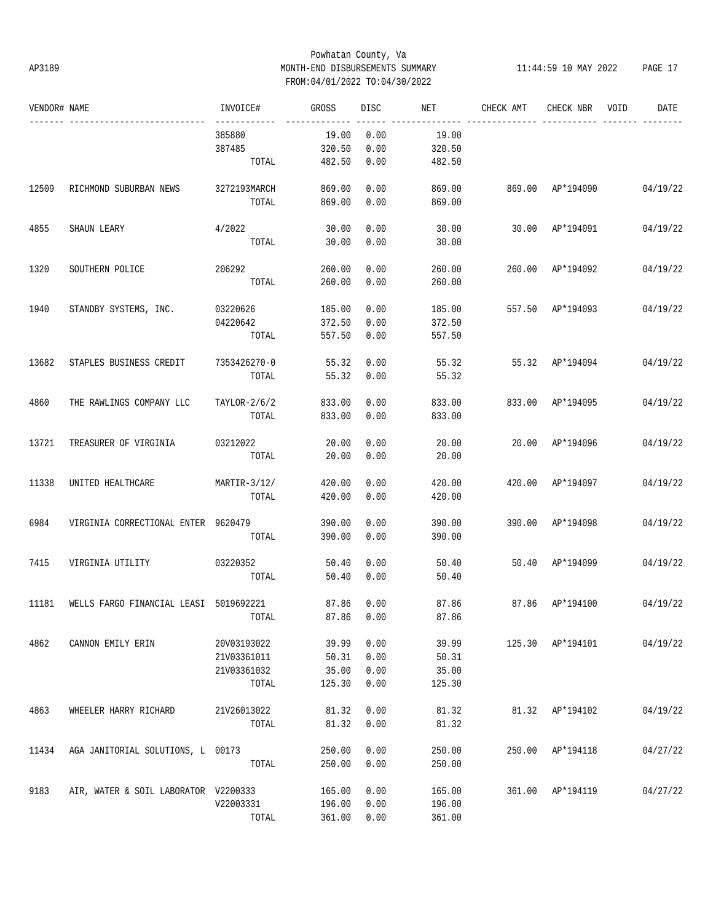## Powhatan County, Va AP3189 MONTH-END DISBURSEMENTS SUMMARY 11:44:59 10 MAY 2022 PAGE 17 FROM:04/01/2022 TO:04/30/2022

| VENDOR# NAME |                                        | INVOICE#       | GROSS  | <b>DISC</b> | NET    | CHECK AMT | CHECK NBR        | VOID | DATE     |
|--------------|----------------------------------------|----------------|--------|-------------|--------|-----------|------------------|------|----------|
|              |                                        | 385880         | 19.00  | 0.00        | 19.00  |           |                  |      |          |
|              |                                        | 387485         | 320.50 | 0.00        | 320.50 |           |                  |      |          |
|              |                                        | TOTAL          | 482.50 | 0.00        | 482.50 |           |                  |      |          |
| 12509        | RICHMOND SUBURBAN NEWS                 | 3272193MARCH   | 869.00 | 0.00        | 869.00 |           | 869.00 AP*194090 |      | 04/19/22 |
|              |                                        | TOTAL          | 869.00 | 0.00        | 869.00 |           |                  |      |          |
| 4855         | SHAUN LEARY                            | 4/2022         | 30.00  | 0.00        | 30.00  | 30.00     | AP*194091        |      | 04/19/22 |
|              |                                        | TOTAL          | 30.00  | 0.00        | 30.00  |           |                  |      |          |
| 1320         | SOUTHERN POLICE                        | 206292         | 260.00 | 0.00        | 260.00 | 260.00    | AP*194092        |      | 04/19/22 |
|              |                                        | TOTAL          | 260.00 | 0.00        | 260.00 |           |                  |      |          |
| 1940         | STANDBY SYSTEMS, INC.                  | 03220626       | 185.00 | 0.00        | 185.00 |           | 557.50 AP*194093 |      | 04/19/22 |
|              |                                        | 04220642       | 372.50 | 0.00        | 372.50 |           |                  |      |          |
|              |                                        | TOTAL          | 557.50 | 0.00        | 557.50 |           |                  |      |          |
| 13682        | STAPLES BUSINESS CREDIT                | 7353426270-0   | 55.32  | 0.00        | 55.32  |           | 55.32 AP*194094  |      | 04/19/22 |
|              |                                        | TOTAL          | 55.32  | 0.00        | 55.32  |           |                  |      |          |
| 4860         | THE RAWLINGS COMPANY LLC               | $TAYLOR-2/6/2$ | 833.00 | 0.00        | 833.00 | 833.00    | AP*194095        |      | 04/19/22 |
|              |                                        | TOTAL          | 833.00 | 0.00        | 833.00 |           |                  |      |          |
| 13721        | TREASURER OF VIRGINIA                  | 03212022       | 20.00  | 0.00        | 20.00  |           | 20.00 AP*194096  |      | 04/19/22 |
|              |                                        | TOTAL          | 20.00  | 0.00        | 20.00  |           |                  |      |          |
| 11338        | UNITED HEALTHCARE                      | $MARTIR-3/12/$ | 420.00 | 0.00        | 420.00 |           | 420.00 AP*194097 |      | 04/19/22 |
|              |                                        | TOTAL          | 420.00 | 0.00        | 420.00 |           |                  |      |          |
| 6984         | VIRGINIA CORRECTIONAL ENTER 9620479    |                | 390.00 | 0.00        | 390.00 |           | 390.00 AP*194098 |      | 04/19/22 |
|              |                                        | TOTAL          | 390.00 | 0.00        | 390.00 |           |                  |      |          |
| 7415         | VIRGINIA UTILITY                       | 03220352       | 50.40  | 0.00        | 50.40  | 50.40     | AP*194099        |      | 04/19/22 |
|              |                                        | TOTAL          | 50.40  | 0.00        | 50.40  |           |                  |      |          |
| 11181        | WELLS FARGO FINANCIAL LEASI 5019692221 |                | 87.86  | 0.00        | 87.86  | 87.86     | AP*194100        |      | 04/19/22 |
|              |                                        | TOTAL          | 87.86  | 0.00        | 87.86  |           |                  |      |          |
| 4862         | CANNON EMILY ERIN                      | 20V03193022    | 39.99  | 0.00        | 39.99  |           | 125.30 AP*194101 |      | 04/19/22 |
|              |                                        | 21V03361011    | 50.31  | 0.00        | 50.31  |           |                  |      |          |
|              |                                        | 21V03361032    | 35.00  | 0.00        | 35.00  |           |                  |      |          |
|              |                                        | TOTAL          | 125.30 | 0.00        | 125.30 |           |                  |      |          |
| 4863         | WHEELER HARRY RICHARD                  | 21V26013022    | 81.32  | 0.00        | 81.32  |           | 81.32 AP*194102  |      | 04/19/22 |
|              |                                        | TOTAL          | 81.32  | 0.00        | 81.32  |           |                  |      |          |
| 11434        | AGA JANITORIAL SOLUTIONS, L 00173      |                | 250.00 | 0.00        | 250.00 | 250.00    | AP*194118        |      | 04/27/22 |
|              |                                        | TOTAL          | 250.00 | 0.00        | 250.00 |           |                  |      |          |
| 9183         | AIR, WATER & SOIL LABORATOR V2200333   |                | 165.00 | 0.00        | 165.00 |           | 361.00 AP*194119 |      | 04/27/22 |
|              |                                        | V22003331      | 196.00 | 0.00        | 196.00 |           |                  |      |          |
|              |                                        | TOTAL          | 361.00 | 0.00        | 361.00 |           |                  |      |          |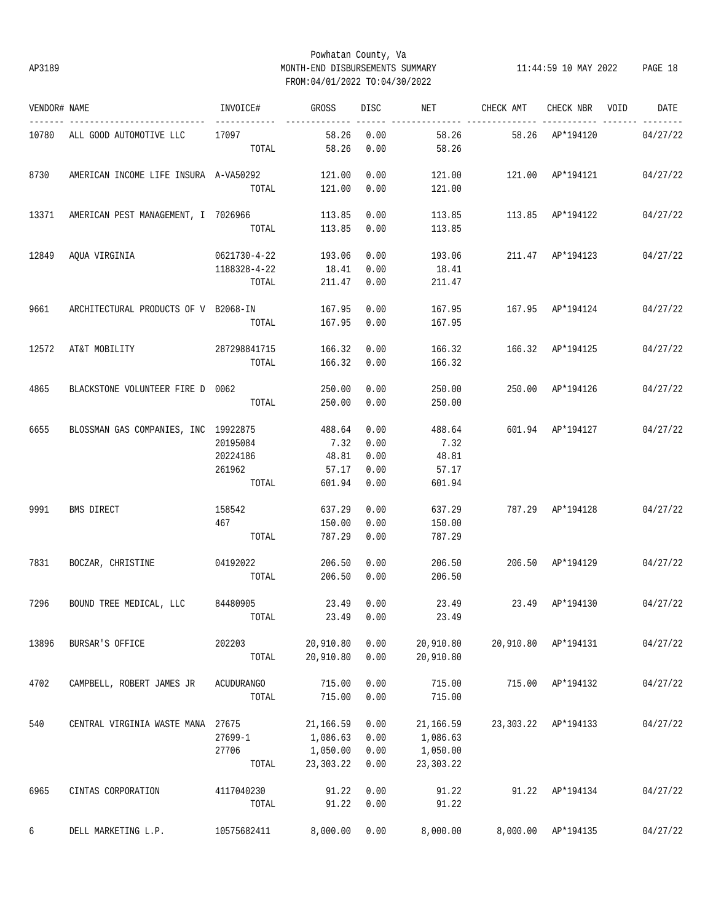# Powhatan County, Va AP3189 MONTH-END DISBURSEMENTS SUMMARY 11:44:59 10 MAY 2022 PAGE 18 FROM:04/01/2022 TO:04/30/2022

| VENDOR# NAME |                                       | INVOICE#         | GROSS                   | DISC | <b>NET</b> | CHECK AMT                 | CHECK NBR VOID      | DATE     |
|--------------|---------------------------------------|------------------|-------------------------|------|------------|---------------------------|---------------------|----------|
|              | 10780 ALL GOOD AUTOMOTIVE LLC         | 17097            | ______________<br>58.26 | 0.00 | 58.26      |                           | 58.26 AP*194120     | 04/27/22 |
|              |                                       | TOTAL            | 58.26                   | 0.00 | 58.26      |                           |                     |          |
| 8730         | AMERICAN INCOME LIFE INSURA A-VA50292 |                  | 121.00                  | 0.00 | 121.00     | 121.00 AP*194121          |                     | 04/27/22 |
|              |                                       | TOTAL            | 121.00                  | 0.00 | 121.00     |                           |                     |          |
| 13371        | AMERICAN PEST MANAGEMENT, I 7026966   |                  | 113.85                  | 0.00 | 113.85     | 113.85 AP*194122          |                     | 04/27/22 |
|              |                                       | TOTAL            | 113.85                  | 0.00 | 113.85     |                           |                     |          |
|              | 12849 AQUA VIRGINIA                   | 0621730-4-22     | 193.06                  | 0.00 | 193.06     | 211.47 AP*194123          |                     | 04/27/22 |
|              |                                       | 1188328-4-22     | 18.41                   | 0.00 | 18.41      |                           |                     |          |
|              |                                       | TOTAL            | 211.47                  | 0.00 | 211.47     |                           |                     |          |
| 9661         | ARCHITECTURAL PRODUCTS OF V B2068-IN  |                  | 167.95                  | 0.00 | 167.95     | 167.95 AP*194124          |                     | 04/27/22 |
|              |                                       | TOTAL            | 167.95                  | 0.00 | 167.95     |                           |                     |          |
| 12572        | AT&T MOBILITY                         | 287298841715     | 166.32                  | 0.00 | 166.32     | 166.32 AP*194125          |                     | 04/27/22 |
|              |                                       | TOTAL            | 166.32                  | 0.00 | 166.32     |                           |                     |          |
| 4865         | BLACKSTONE VOLUNTEER FIRE D 0062      |                  | 250.00                  | 0.00 | 250.00     | 250.00 AP*194126          |                     | 04/27/22 |
|              |                                       | TOTAL            | 250.00                  | 0.00 | 250.00     |                           |                     |          |
| 6655         | BLOSSMAN GAS COMPANIES, INC 19922875  |                  | 488.64                  | 0.00 | 488.64     | 601.94 AP*194127          |                     | 04/27/22 |
|              |                                       | 20195084         | 7.32                    | 0.00 | 7.32       |                           |                     |          |
|              |                                       | 20224186         | 48.81                   | 0.00 | 48.81      |                           |                     |          |
|              |                                       | 261962           | 57.17                   | 0.00 | 57.17      |                           |                     |          |
|              |                                       | TOTAL            | 601.94                  | 0.00 | 601.94     |                           |                     |          |
| 9991         | BMS DIRECT                            | 158542           | 637.29                  | 0.00 | 637.29     | 787.29 AP*194128 04/27/22 |                     |          |
|              |                                       | 467              | 150.00                  | 0.00 | 150.00     |                           |                     |          |
|              |                                       | TOTAL            | 787.29                  | 0.00 | 787.29     |                           |                     |          |
| 7831         | BOCZAR, CHRISTINE                     | 04192022         | 206.50                  | 0.00 | 206.50     | 206.50 AP*194129          |                     | 04/27/22 |
|              |                                       | TOTAL            | 206.50                  | 0.00 | 206.50     |                           |                     |          |
| 7296         | BOUND TREE MEDICAL, LLC 84480905      |                  | 23.49                   | 0.00 | 23.49      | 23.49 AP*194130           |                     | 04/27/22 |
|              |                                       | TOTAL 23.49 0.00 |                         |      | 23.49      |                           |                     |          |
| 13896        | BURSAR'S OFFICE                       | 202203           | 20,910.80               | 0.00 | 20,910.80  |                           | 20,910.80 AP*194131 | 04/27/22 |
|              |                                       | TOTAL            | 20,910.80               | 0.00 | 20,910.80  |                           |                     |          |
| 4702         | CAMPBELL, ROBERT JAMES JR             | ACUDURANGO       | 715.00                  | 0.00 | 715.00     |                           | 715.00 AP*194132    | 04/27/22 |
|              |                                       | TOTAL            | 715.00                  | 0.00 | 715.00     |                           |                     |          |
| 540          | CENTRAL VIRGINIA WASTE MANA 27675     |                  | 21,166.59               | 0.00 | 21,166.59  |                           | 23,303.22 AP*194133 | 04/27/22 |
|              |                                       | $27699 - 1$      | 1,086.63                | 0.00 | 1,086.63   |                           |                     |          |
|              |                                       | 27706            | 1,050.00                | 0.00 | 1,050.00   |                           |                     |          |
|              |                                       | TOTAL            | 23,303.22               | 0.00 | 23,303.22  |                           |                     |          |
| 6965         | CINTAS CORPORATION                    | 4117040230       | 91.22                   | 0.00 | 91.22      | 91.22                     | AP*194134           | 04/27/22 |
|              |                                       | TOTAL            | 91.22                   | 0.00 | 91.22      |                           |                     |          |
| 6            | DELL MARKETING L.P.                   | 10575682411      | 8,000.00                | 0.00 | 8,000.00   | 8,000.00                  | AP*194135           | 04/27/22 |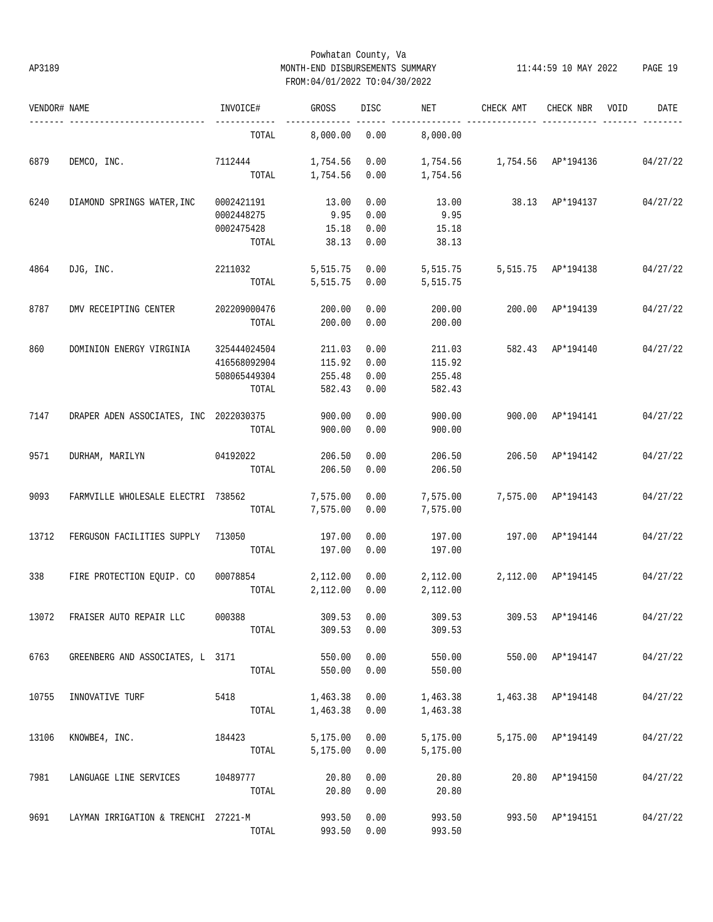## Powhatan County, Va AP3189 MONTH-END DISBURSEMENTS SUMMARY 11:44:59 10 MAY 2022 PAGE 19 FROM:04/01/2022 TO:04/30/2022

| VENDOR# NAME |                                        | INVOICE#     | <b>GROSS</b> | <b>DISC</b> | NET      | CHECK AMT | CHECK NBR          | VOID | DATE     |
|--------------|----------------------------------------|--------------|--------------|-------------|----------|-----------|--------------------|------|----------|
|              |                                        | TOTAL        | 8,000.00     | 0.00        | 8,000.00 |           |                    |      |          |
| 6879         | DEMCO, INC.                            | 7112444      | 1,754.56     | 0.00        | 1,754.56 | 1,754.56  | AP*194136          |      | 04/27/22 |
|              |                                        | TOTAL        | 1,754.56     | 0.00        | 1,754.56 |           |                    |      |          |
| 6240         | DIAMOND SPRINGS WATER, INC             | 0002421191   | 13.00        | 0.00        | 13.00    | 38.13     | AP*194137          |      | 04/27/22 |
|              |                                        | 0002448275   | 9.95         | 0.00        | 9.95     |           |                    |      |          |
|              |                                        | 0002475428   | 15.18        | 0.00        | 15.18    |           |                    |      |          |
|              |                                        | TOTAL        | 38.13        | 0.00        | 38.13    |           |                    |      |          |
| 4864         | DJG, INC.                              | 2211032      | 5,515.75     | 0.00        | 5,515.75 | 5,515.75  | AP*194138          |      | 04/27/22 |
|              |                                        | TOTAL        | 5,515.75     | 0.00        | 5,515.75 |           |                    |      |          |
| 8787         | DMV RECEIPTING CENTER                  | 202209000476 | 200.00       | 0.00        | 200.00   | 200.00    | AP*194139          |      | 04/27/22 |
|              |                                        | TOTAL        | 200.00       | 0.00        | 200.00   |           |                    |      |          |
| 860          | DOMINION ENERGY VIRGINIA               | 325444024504 | 211.03       | 0.00        | 211.03   | 582.43    | AP*194140          |      | 04/27/22 |
|              |                                        | 416568092904 | 115.92       | 0.00        | 115.92   |           |                    |      |          |
|              |                                        | 508065449304 | 255.48       | 0.00        | 255.48   |           |                    |      |          |
|              |                                        | TOTAL        | 582.43       | 0.00        | 582.43   |           |                    |      |          |
| 7147         | DRAPER ADEN ASSOCIATES, INC 2022030375 |              | 900.00       | 0.00        | 900.00   | 900.00    | AP*194141          |      | 04/27/22 |
|              |                                        | TOTAL        | 900.00       | 0.00        | 900.00   |           |                    |      |          |
| 9571         | DURHAM, MARILYN                        | 04192022     | 206.50       | 0.00        | 206.50   | 206.50    | AP*194142          |      | 04/27/22 |
|              |                                        | TOTAL        | 206.50       | 0.00        | 206.50   |           |                    |      |          |
| 9093         | FARMVILLE WHOLESALE ELECTRI 738562     |              | 7,575.00     | 0.00        | 7,575.00 | 7,575.00  | AP*194143          |      | 04/27/22 |
|              |                                        | TOTAL        | 7,575.00     | 0.00        | 7,575.00 |           |                    |      |          |
| 13712        | FERGUSON FACILITIES SUPPLY             | 713050       | 197.00       | 0.00        | 197.00   | 197.00    | AP*194144          |      | 04/27/22 |
|              |                                        | TOTAL        | 197.00       | 0.00        | 197.00   |           |                    |      |          |
| 338          | FIRE PROTECTION EQUIP. CO              | 00078854     | 2,112.00     | 0.00        | 2,112.00 | 2,112.00  | AP*194145          |      | 04/27/22 |
|              |                                        | TOTAL        | 2,112.00     | 0.00        | 2,112.00 |           |                    |      |          |
| 13072        | FRAISER AUTO REPAIR LLC                | 000388       | 309.53       | 0.00        | 309.53   | 309.53    | AP*194146          |      | 04/27/22 |
|              |                                        | TOTAL        | 309.53       | 0.00        | 309.53   |           |                    |      |          |
| 6763         | GREENBERG AND ASSOCIATES, L 3171       |              | 550.00       | 0.00        | 550.00   |           | 550.00 AP*194147   |      | 04/27/22 |
|              |                                        | TOTAL        | 550.00       | 0.00        | 550.00   |           |                    |      |          |
| 10755        | INNOVATIVE TURF                        | 5418         | 1,463.38     | 0.00        | 1,463.38 |           | 1,463.38 AP*194148 |      | 04/27/22 |
|              |                                        | TOTAL        | 1,463.38     | 0.00        | 1,463.38 |           |                    |      |          |
|              |                                        |              |              |             |          |           |                    |      |          |
| 13106        | KNOWBE4, INC.                          | 184423       | 5,175.00     | 0.00        | 5,175.00 |           | 5,175.00 AP*194149 |      | 04/27/22 |
|              |                                        | TOTAL        | 5,175.00     | 0.00        | 5,175.00 |           |                    |      |          |
| 7981         | LANGUAGE LINE SERVICES                 | 10489777     | 20.80        | 0.00        | 20.80    |           | 20.80 AP*194150    |      | 04/27/22 |
|              |                                        | TOTAL        | 20.80        | 0.00        | 20.80    |           |                    |      |          |
| 9691         | LAYMAN IRRIGATION & TRENCHI 27221-M    |              | 993.50       | 0.00        | 993.50   |           | 993.50 AP*194151   |      | 04/27/22 |
|              |                                        | TOTAL        | 993.50       | 0.00        | 993.50   |           |                    |      |          |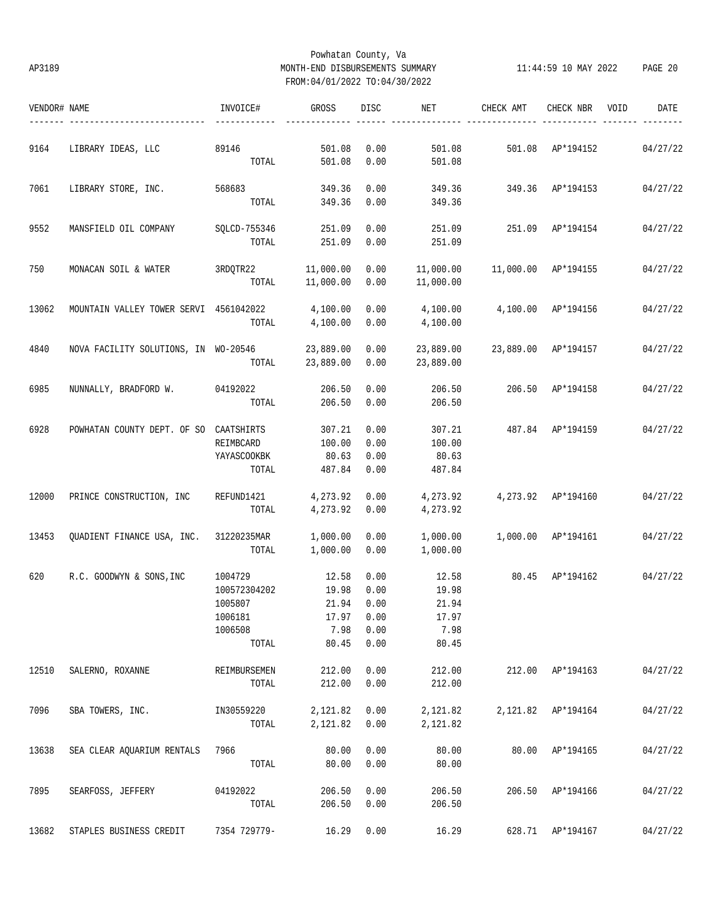## Powhatan County, Va AP3189 MONTH-END DISBURSEMENTS SUMMARY 11:44:59 10 MAY 2022 PAGE 20 FROM:04/01/2022 TO:04/30/2022

| VENDOR# NAME |                                                | INVOICE#              | GROSS                  | DISC         | NET                    | CHECK AMT           | CHECK NBR          | VOID | DATE     |
|--------------|------------------------------------------------|-----------------------|------------------------|--------------|------------------------|---------------------|--------------------|------|----------|
| 9164         | LIBRARY IDEAS, LLC                             | 89146                 | 501.08                 | 0.00         | 501.08                 | 501.08 AP*194152    |                    |      | 04/27/22 |
|              |                                                | TOTAL                 | 501.08                 | 0.00         | 501.08                 |                     |                    |      |          |
| 7061         | LIBRARY STORE, INC. 568683                     |                       | 349.36                 | 0.00         | 349.36                 | 349.36 AP*194153    |                    |      | 04/27/22 |
|              |                                                | TOTAL                 | 349.36                 | 0.00         | 349.36                 |                     |                    |      |          |
| 9552         | MANSFIELD OIL COMPANY                          | SQLCD-755346<br>TOTAL | 251.09<br>251.09       | 0.00<br>0.00 | 251.09<br>251.09       | 251.09 AP*194154    |                    |      | 04/27/22 |
|              |                                                |                       |                        |              |                        |                     |                    |      |          |
| 750          | MONACAN SOIL & WATER                           | 3RDQTR22<br>TOTAL     | 11,000.00<br>11,000.00 | 0.00<br>0.00 | 11,000.00<br>11,000.00 | 11,000.00 AP*194155 |                    |      | 04/27/22 |
| 13062        | MOUNTAIN VALLEY TOWER SERVI 4561042022         |                       | 4,100.00               | 0.00         | 4,100.00               |                     | 4,100.00 AP*194156 |      | 04/27/22 |
|              |                                                | TOTAL                 | 4,100.00               | 0.00         | 4,100.00               |                     |                    |      |          |
| 4840         | NOVA FACILITY SOLUTIONS, IN WO-20546 23,889.00 | TOTAL                 | 23,889.00              | 0.00<br>0.00 | 23,889.00<br>23,889.00 | 23,889.00 AP*194157 |                    |      | 04/27/22 |
|              |                                                |                       |                        |              |                        |                     |                    |      |          |
| 6985         | NUNNALLY, BRADFORD W. 04192022                 |                       | 206.50                 | 0.00         | 206.50                 |                     | 206.50 AP*194158   |      | 04/27/22 |
|              |                                                | TOTAL                 | 206.50                 | 0.00         | 206.50                 |                     |                    |      |          |
| 6928         | POWHATAN COUNTY DEPT. OF SO CAATSHIRTS         |                       | 307.21                 | 0.00         | 307.21                 | 487.84 AP*194159    |                    |      | 04/27/22 |
|              |                                                | REIMBCARD             | 100.00                 | 0.00         | 100.00                 |                     |                    |      |          |
|              |                                                | YAYASCOOKBK           | 80.63                  | 0.00         | 80.63                  |                     |                    |      |          |
|              |                                                | TOTAL                 | 487.84                 | 0.00         | 487.84                 |                     |                    |      |          |
| 12000        | PRINCE CONSTRUCTION, INC                       | REFUND1421            | 4,273.92               | 0.00         | 4,273.92               | 4,273.92 AP*194160  |                    |      | 04/27/22 |
|              |                                                | TOTAL                 | 4,273.92               | 0.00         | 4,273.92               |                     |                    |      |          |
| 13453        | QUADIENT FINANCE USA, INC. 31220235MAR         |                       | 1,000.00               | 0.00         | 1,000.00               |                     | 1,000.00 AP*194161 |      | 04/27/22 |
|              |                                                | TOTAL                 | 1,000.00               | 0.00         | 1,000.00               |                     |                    |      |          |
| 620          | R.C. GOODWYN & SONS, INC                       | 1004729               | 12.58                  | 0.00         | 12.58                  | 80.45 AP*194162     |                    |      | 04/27/22 |
|              |                                                | 100572304202          | 19.98                  | 0.00         | 19.98                  |                     |                    |      |          |
|              |                                                | 1005807               | 21.94                  | 0.00         | 21.94                  |                     |                    |      |          |
|              |                                                | 1006181               | 17.97                  | 0.00         | 17.97                  |                     |                    |      |          |
|              |                                                | 1006508               | 7.98                   | 0.00         | 7.98                   |                     |                    |      |          |
|              |                                                | TOTAL                 | 80.45                  | 0.00         | 80.45                  |                     |                    |      |          |
| 12510        | SALERNO, ROXANNE                               | REIMBURSEMEN          | 212.00                 | 0.00         | 212.00                 |                     | 212.00 AP*194163   |      | 04/27/22 |
|              |                                                | TOTAL                 | 212.00                 | 0.00         | 212.00                 |                     |                    |      |          |
| 7096         | SBA TOWERS, INC.                               | IN30559220            | 2,121.82               | 0.00         | 2,121.82               |                     | 2,121.82 AP*194164 |      | 04/27/22 |
|              |                                                | TOTAL                 | 2,121.82               | 0.00         | 2,121.82               |                     |                    |      |          |
| 13638        | SEA CLEAR AOUARIUM RENTALS                     | 7966                  | 80.00                  | 0.00         | 80.00                  | 80.00               | AP*194165          |      | 04/27/22 |
|              |                                                | TOTAL                 | 80.00                  | 0.00         | 80.00                  |                     |                    |      |          |
| 7895         | SEARFOSS, JEFFERY                              | 04192022              | 206.50                 | 0.00         | 206.50                 | 206.50              | AP*194166          |      | 04/27/22 |
|              |                                                | TOTAL                 | 206.50                 | 0.00         | 206.50                 |                     |                    |      |          |
| 13682        | STAPLES BUSINESS CREDIT                        | 7354 729779-          | 16.29                  | 0.00         | 16.29                  |                     | 628.71 AP*194167   |      | 04/27/22 |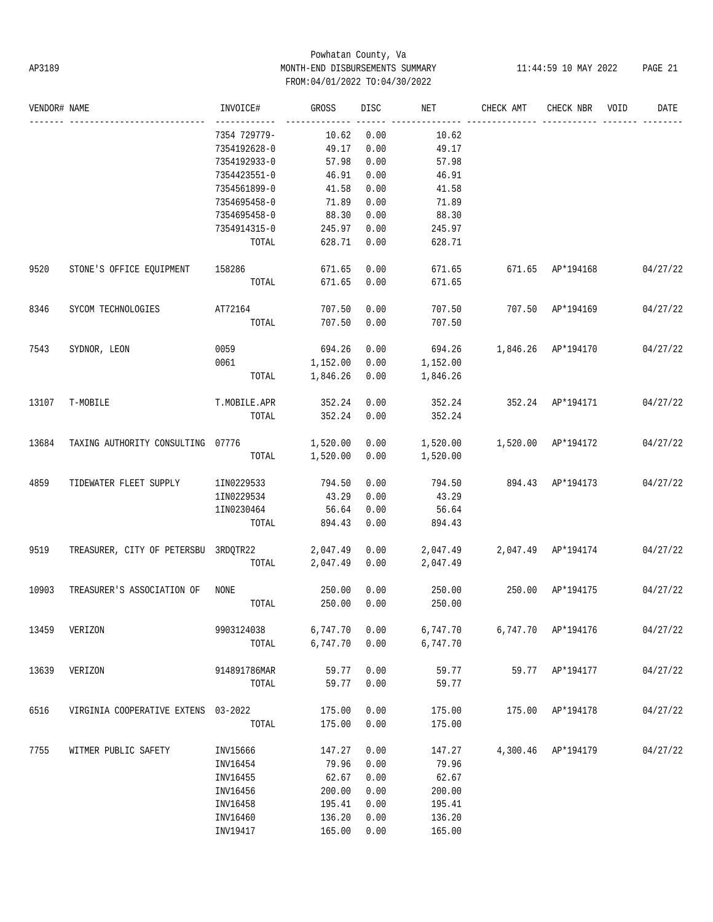# Powhatan County, Va AP3189 MONTH-END DISBURSEMENTS SUMMARY 11:44:59 10 MAY 2022 PAGE 21 FROM:04/01/2022 TO:04/30/2022

| VENDOR# NAME |                                      | INVOICE#     | GROSS          | DISC | NET      | CHECK AMT                       | CHECK NBR          | VOID | DATE     |
|--------------|--------------------------------------|--------------|----------------|------|----------|---------------------------------|--------------------|------|----------|
|              |                                      | 7354 729779- | 10.62          | 0.00 | 10.62    |                                 |                    |      |          |
|              |                                      | 7354192628-0 | 49.17          | 0.00 | 49.17    |                                 |                    |      |          |
|              |                                      | 7354192933-0 | 57.98          | 0.00 | 57.98    |                                 |                    |      |          |
|              |                                      | 7354423551-0 | 46.91          | 0.00 | 46.91    |                                 |                    |      |          |
|              |                                      | 7354561899-0 | 41.58          | 0.00 | 41.58    |                                 |                    |      |          |
|              |                                      | 7354695458-0 | 71.89          | 0.00 | 71.89    |                                 |                    |      |          |
|              |                                      | 7354695458-0 | 88.30          | 0.00 | 88.30    |                                 |                    |      |          |
|              |                                      | 7354914315-0 | 245.97         | 0.00 | 245.97   |                                 |                    |      |          |
|              |                                      | TOTAL        | 628.71 0.00    |      | 628.71   |                                 |                    |      |          |
| 9520         | STONE'S OFFICE EQUIPMENT             | 158286       | 671.65         | 0.00 |          | 671.65 671.65 AP*194168         |                    |      | 04/27/22 |
|              |                                      | TOTAL        | 671.65         | 0.00 | 671.65   |                                 |                    |      |          |
| 8346         | SYCOM TECHNOLOGIES                   | AT72164      | 707.50         | 0.00 | 707.50   | 707.50 AP*194169                |                    |      | 04/27/22 |
|              |                                      | TOTAL        | 707.50         | 0.00 | 707.50   |                                 |                    |      |          |
| 7543         | SYDNOR, LEON                         | 0059         | 694.26         | 0.00 | 694.26   | 1,846.26 AP*194170              |                    |      | 04/27/22 |
|              |                                      | 0061         | 1,152.00       | 0.00 | 1,152.00 |                                 |                    |      |          |
|              |                                      | TOTAL        | 1,846.26       | 0.00 | 1,846.26 |                                 |                    |      |          |
| 13107        | T-MOBILE                             | T.MOBILE.APR | 352.24         | 0.00 |          | 352.24 352.24 AP*194171         |                    |      | 04/27/22 |
|              |                                      | TOTAL        | 352.24         | 0.00 | 352.24   |                                 |                    |      |          |
| 13684        | TAXING AUTHORITY CONSULTING 07776    |              | 1,520.00       | 0.00 |          | 1,520.00   1,520.00   AP*194172 |                    |      | 04/27/22 |
|              |                                      |              | TOTAL 1,520.00 | 0.00 | 1,520.00 |                                 |                    |      |          |
| 4859         | TIDEWATER FLEET SUPPLY               | 1IN0229533   | 794.50         | 0.00 | 794.50   | 894.43 AP*194173                |                    |      | 04/27/22 |
|              |                                      | 1IN0229534   | 43.29          | 0.00 | 43.29    |                                 |                    |      |          |
|              |                                      | 1IN0230464   | 56.64          | 0.00 | 56.64    |                                 |                    |      |          |
|              |                                      | TOTAL        | 894.43         | 0.00 | 894.43   |                                 |                    |      |          |
| 9519         | TREASURER, CITY OF PETERSBU 3RDQTR22 |              | 2,047.49 0.00  |      | 2,047.49 |                                 | 2,047.49 AP*194174 |      | 04/27/22 |
|              |                                      | TOTAL        | 2,047.49       | 0.00 | 2,047.49 |                                 |                    |      |          |
| 10903        | TREASURER'S ASSOCIATION OF NONE      |              | 250.00         | 0.00 | 250.00   | 250.00                          | AP*194175          |      | 04/27/22 |
|              |                                      | TOTAL        | 250.00         | 0.00 | 250.00   |                                 |                    |      |          |
| 13459        | VERIZON                              | 9903124038   | 6,747.70       | 0.00 | 6,747.70 |                                 | 6,747.70 AP*194176 |      | 04/27/22 |
|              |                                      | TOTAL        | 6,747.70       | 0.00 | 6,747.70 |                                 |                    |      |          |
| 13639        | VERIZON                              | 914891786MAR | 59.77          | 0.00 | 59.77    |                                 | 59.77 AP*194177    |      | 04/27/22 |
|              |                                      | TOTAL        | 59.77          | 0.00 | 59.77    |                                 |                    |      |          |
| 6516         | VIRGINIA COOPERATIVE EXTENS          | $03 - 2022$  | 175.00         | 0.00 | 175.00   | 175.00                          | AP*194178          |      | 04/27/22 |
|              |                                      | TOTAL        | 175.00         | 0.00 | 175.00   |                                 |                    |      |          |
| 7755         | WITMER PUBLIC SAFETY                 | INV15666     | 147.27         | 0.00 | 147.27   | 4,300.46                        | AP*194179          |      | 04/27/22 |
|              |                                      | INV16454     | 79.96          | 0.00 | 79.96    |                                 |                    |      |          |
|              |                                      | INV16455     | 62.67          | 0.00 | 62.67    |                                 |                    |      |          |
|              |                                      | INV16456     | 200.00         | 0.00 | 200.00   |                                 |                    |      |          |
|              |                                      | INV16458     | 195.41         | 0.00 | 195.41   |                                 |                    |      |          |
|              |                                      | INV16460     | 136.20         | 0.00 | 136.20   |                                 |                    |      |          |
|              |                                      | INV19417     | 165.00         | 0.00 | 165.00   |                                 |                    |      |          |